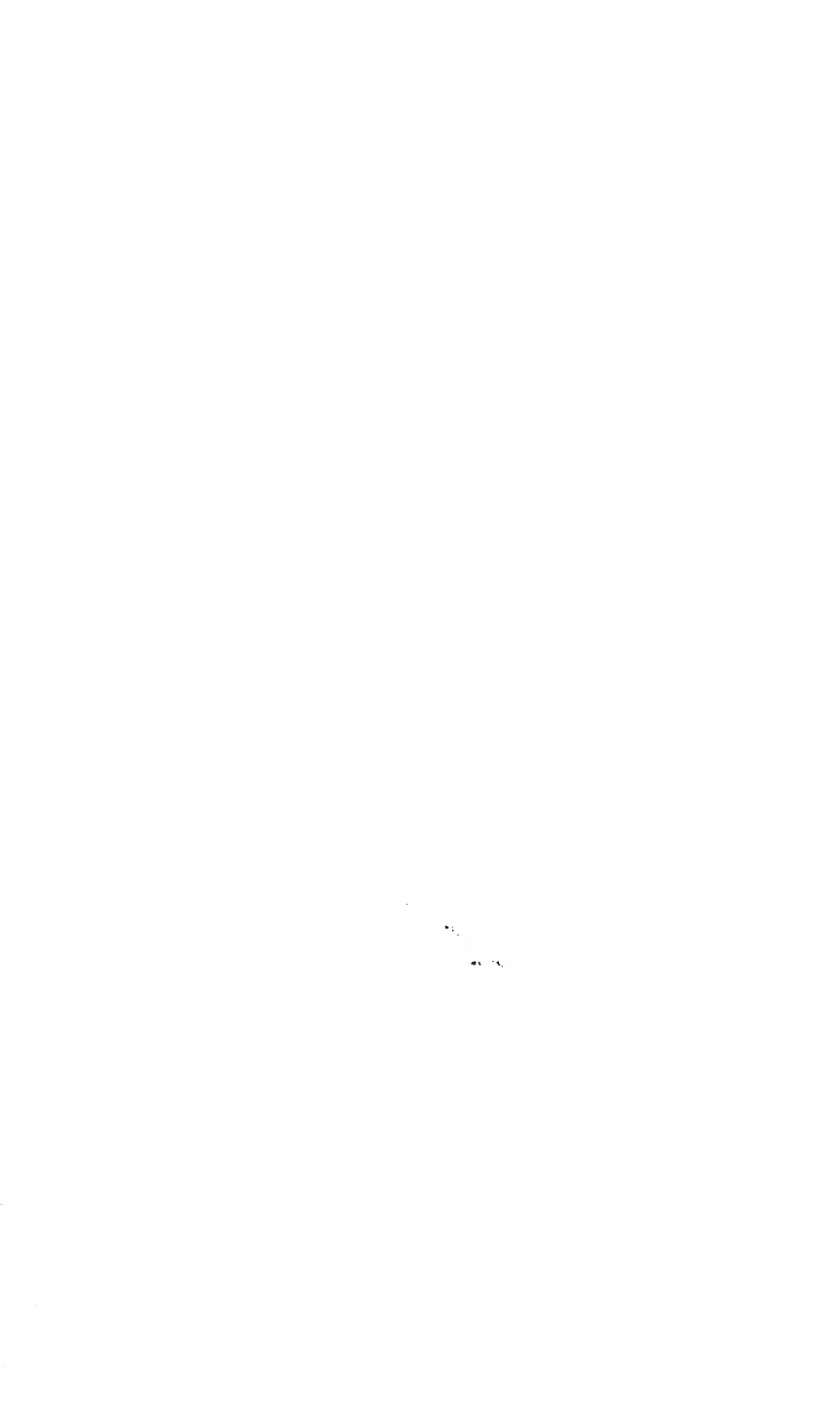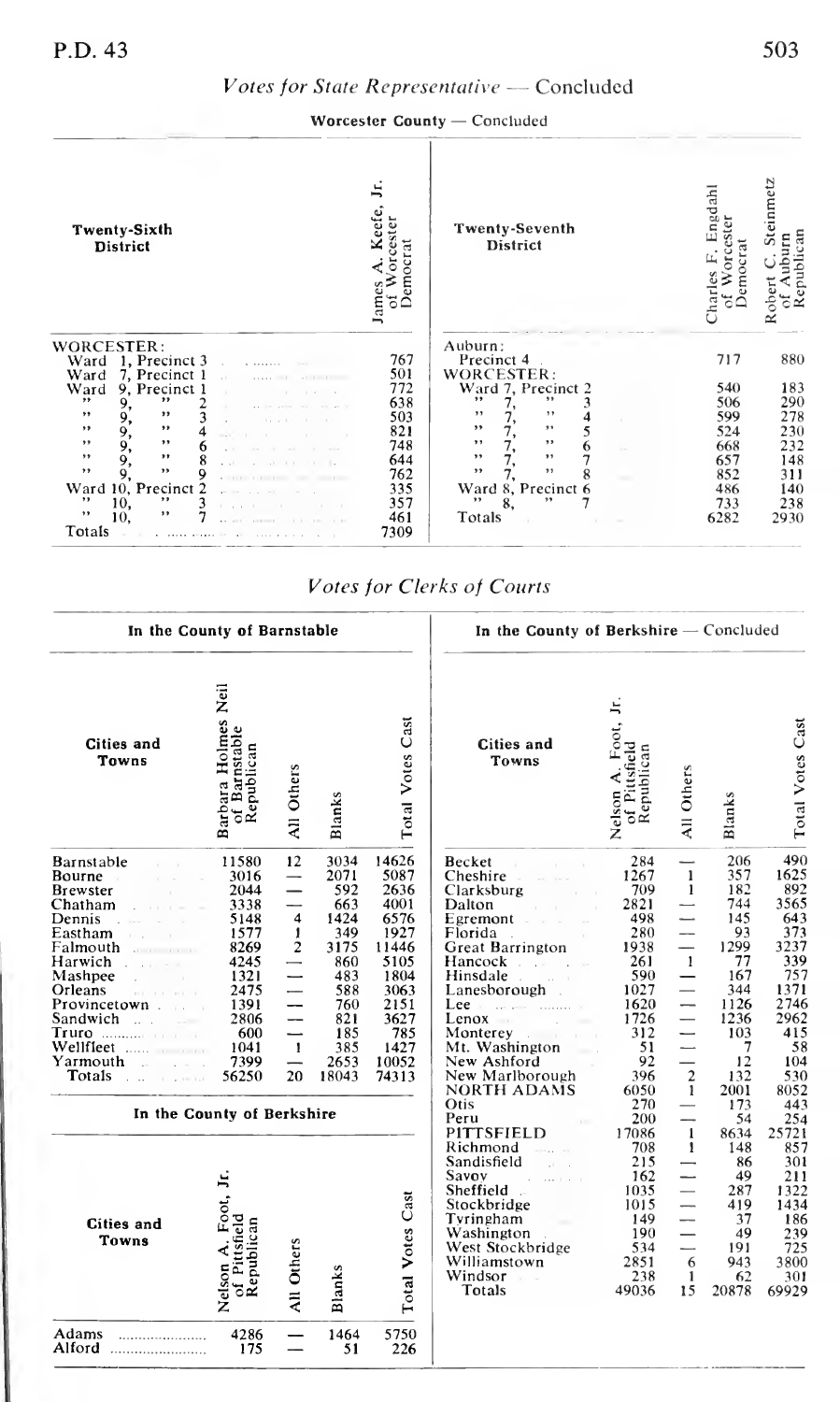### Votes for State Representative — Concluded

#### Worcester County — Concluded

| Twenty-Sixth<br>District                                                                                                                                                                                                                                                                         | ε<br>Ĕ<br>≏<br>5                                                          | Twenty-Seventh<br>District                                                                                                                                                                                      | anmetz<br>습<br>Ė<br>hari<br>F                                      | ö                                                                  |
|--------------------------------------------------------------------------------------------------------------------------------------------------------------------------------------------------------------------------------------------------------------------------------------------------|---------------------------------------------------------------------------|-----------------------------------------------------------------------------------------------------------------------------------------------------------------------------------------------------------------|--------------------------------------------------------------------|--------------------------------------------------------------------|
| WORCESTER:<br>1, Precinct 3<br>Ward<br>7, Precinct 1<br>Ward<br>Ward<br>9. Precinct 1<br>,,<br>$\cdots$<br>$\cdots$<br>,,<br>9,<br>$\cdots$<br>$\bullet$<br>9,<br>$\cdots$<br>$\cdots$<br>9,<br>$, \,$<br>$\cdots$<br>9,<br>$\ddot{\phantom{1}}$<br>,,<br>Ward 10, Precinct 2<br>,,<br>,,<br>10, | 767<br>501<br>772<br>638<br>503<br>821<br>748<br>644<br>762<br>335<br>357 | Auburn:<br>Precinct 4<br>WORCESTER:<br>Ward 7, Precinct 2<br>,,<br><br>$^{\bullet}$<br>$\cdots$<br>,<br>$\cdots$<br>$\cdots$<br>$, \,$<br>n<br>$, \,$<br>,,<br>$\cdots$<br>,,<br>Ward 8, Precinct 6<br>.,<br>8, | 717<br>540<br>506<br>599<br>524<br>668<br>657<br>852<br>486<br>733 | 880<br>183<br>290<br>278<br>230<br>232<br>148<br>311<br>140<br>238 |
| $\ddot{\phantom{1}}$<br>,,<br>10,<br>Totals                                                                                                                                                                                                                                                      | 461<br>7309                                                               | Totals                                                                                                                                                                                                          | 6282                                                               | 2930                                                               |

### Votes for Clerks of Courts

| In the County of Barnstable                                                                                                                                                                                                                                                             |                                                                                                                               |                                                                                                                                                                        | In the County of Berkshire - Concluded                                                                              |                                                                                                                                 |                                                                                                                                                                                                                                                                                                                                                                                                     |                                                                                                                          |                                                                                                                                                                                                                                                        |                                                                                                                    |                                                                                                                           |
|-----------------------------------------------------------------------------------------------------------------------------------------------------------------------------------------------------------------------------------------------------------------------------------------|-------------------------------------------------------------------------------------------------------------------------------|------------------------------------------------------------------------------------------------------------------------------------------------------------------------|---------------------------------------------------------------------------------------------------------------------|---------------------------------------------------------------------------------------------------------------------------------|-----------------------------------------------------------------------------------------------------------------------------------------------------------------------------------------------------------------------------------------------------------------------------------------------------------------------------------------------------------------------------------------------------|--------------------------------------------------------------------------------------------------------------------------|--------------------------------------------------------------------------------------------------------------------------------------------------------------------------------------------------------------------------------------------------------|--------------------------------------------------------------------------------------------------------------------|---------------------------------------------------------------------------------------------------------------------------|
| Cities and<br>Towns                                                                                                                                                                                                                                                                     | ii<br>∑<br>Holmes<br>of Barnstable<br>Republican<br>Barbara                                                                   | All Others                                                                                                                                                             | Blanks                                                                                                              | Cast<br><b>Total Votes</b>                                                                                                      | <b>Cities and</b><br>Towns                                                                                                                                                                                                                                                                                                                                                                          | 5<br>Nelson A. Foot,<br>of Pittsfield<br>Republican                                                                      | All Others                                                                                                                                                                                                                                             | Blanks                                                                                                             | Total Votes Cast                                                                                                          |
| <b>Barnstable</b><br>Bourne<br>$10 - 10$<br>Brewster<br>Chatham<br>Dennis<br>Eastham<br>and the control<br>Harwich<br>Mashpee<br>Orleans<br><b>ALCOHOL: AND A</b><br>Provincetown.<br>$\mathcal{L}$<br>Sandwich<br>and the company<br>Yarmouth<br>Totals<br><b>Contractor</b><br>$\sim$ | 11580<br>3016<br>2044<br>3338<br>5148<br>1577<br>8269<br>4245<br>1321<br>2475<br>1391<br>2806<br>600<br>1041<br>7399<br>56250 | 12<br>-<br>-<br>-<br>4<br>1<br>$\overline{c}$<br>-<br>$\overline{\phantom{0}}$<br>$\overline{\phantom{0}}$<br>$\overline{\phantom{0}}$<br>-<br>$\mathbf{1}$<br>-<br>20 | 3034<br>2071<br>592<br>663<br>1424<br>349<br>3175<br>860<br>483<br>588<br>760<br>821<br>185<br>385<br>2653<br>18043 | 14626<br>5087<br>2636<br>4001<br>6576<br>1927<br>11446<br>5105<br>1804<br>3063<br>2151<br>3627<br>785<br>1427<br>10052<br>74313 | Becket<br>Cheshire<br>×<br>Clarksburg<br>Dalton<br>Egremont<br>Florida<br>÷.<br>Great Barrington<br>Hancock<br>×<br>and a state of<br>Hinsdale<br><b>Contractor</b><br>Lanesborough .<br>Lee<br>a consideration of the construction<br>Lenox<br>Monterey<br>$\mathcal{L} = \mathcal{L}$<br>$\sim$ $\sim$ $\sim$<br>Mt. Washington<br>$\sim$<br>New Ashford<br>New Marlborough<br><b>NORTH ADAMS</b> | 284<br>1267<br>709<br>2821<br>498<br>280<br>1938<br>261<br>590<br>1027<br>1620<br>1726<br>312<br>51<br>92<br>396<br>6050 | 1<br>1<br>$\overline{\phantom{0}}$<br>$\overline{\phantom{0}}$<br>-<br>-<br>$\mathbf{1}$<br>-<br>$\overline{\phantom{0}}$<br>$\overline{\phantom{0}}$<br>$\overline{\phantom{0}}$<br>—<br>$\overline{\phantom{0}}$<br>$\boldsymbol{2}$<br>$\mathbf{1}$ | 206<br>357<br>182<br>744<br>145<br>93<br>1299<br>77<br>167<br>344<br>1126<br>1236<br>103<br>7<br>12<br>132<br>2001 | 490<br>1625<br>892<br>3565<br>643<br>373<br>3237<br>339<br>757<br>1371<br>2746<br>2962<br>415<br>58<br>104<br>530<br>8052 |
| In the County of Berkshire                                                                                                                                                                                                                                                              |                                                                                                                               |                                                                                                                                                                        |                                                                                                                     |                                                                                                                                 | Otis<br>Peru                                                                                                                                                                                                                                                                                                                                                                                        | 270<br>200                                                                                                               | -                                                                                                                                                                                                                                                      | 173<br>54                                                                                                          | 443<br>254                                                                                                                |
| <b>Cities</b> and<br>Towns                                                                                                                                                                                                                                                              | 5<br>Foot,<br>of Pittsfield<br>Republican<br>Nelson A.                                                                        | All Others                                                                                                                                                             | Blanks                                                                                                              | Cast<br><b>Total Votes</b>                                                                                                      | <b>PITTSFIELD</b><br>Richmond<br>Sandisfield<br><b>College</b><br>Savov<br><b>Contractor</b><br>Sheffield<br>Stockbridge<br>Tvringham<br>Washington<br>West Stockbridge<br>Williamstown<br>Windsor<br>$\sim$ 10 $^{-1}$<br>Totals                                                                                                                                                                   | 17086<br>708<br>215<br>162<br>1035<br>1015<br>149<br>190<br>534<br>2851<br>238<br>49036                                  | 1<br>1<br>$\overline{\phantom{0}}$<br>$\overline{\phantom{0}}$<br>$\overline{\phantom{0}}$<br>--<br>$\overline{\phantom{0}}$<br>6<br>1<br>15                                                                                                           | 8634<br>148<br>86<br>49<br>287<br>419<br>37<br>49<br>191<br>943<br>62<br>20878                                     | 25721<br>857<br>301<br>211<br>1322<br>1434<br>186<br>239<br>725<br>3800<br>301<br>69929                                   |
| Adams<br>Alford                                                                                                                                                                                                                                                                         | 4286<br>175                                                                                                                   |                                                                                                                                                                        | 1464<br>51                                                                                                          | 5750<br>226                                                                                                                     |                                                                                                                                                                                                                                                                                                                                                                                                     |                                                                                                                          |                                                                                                                                                                                                                                                        |                                                                                                                    |                                                                                                                           |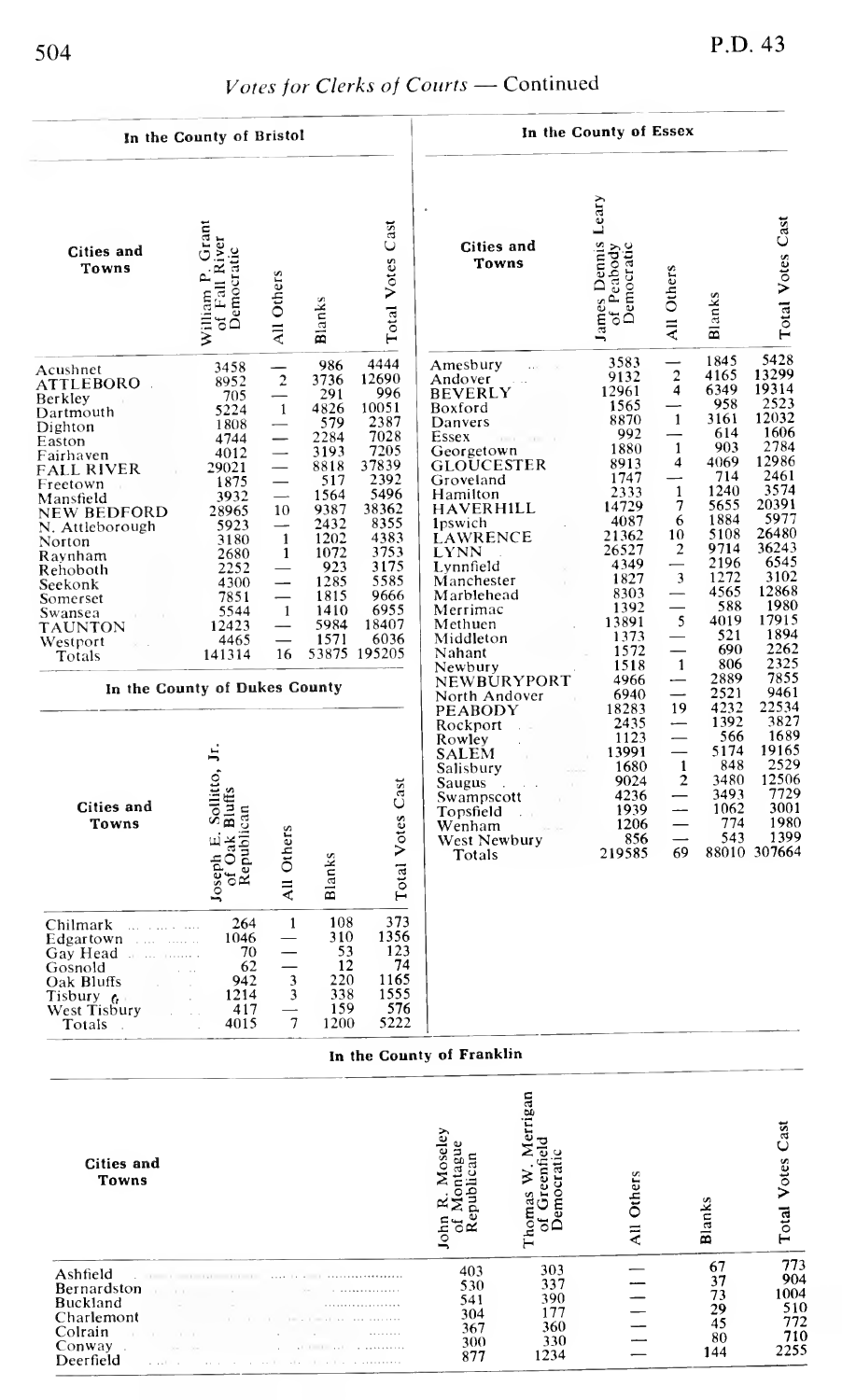Ashfield

**Buckland** 

Colrain

Conway

Deerfield

Bernardston

Charlemont

Total Votes Cast

5428

13299

 $19314$ 

 $\frac{2523}{12032}$ 

1606

2784

2461

3574

5977

26480

36243

6545

3102

12868

17915

1980

1894

2262

2325

7855

9461

3827

1689

2529

19165

12506

3001

1980

1399

Total Votes Cast

773

904

1004

 $\frac{510}{772}$ 

 $710$ 

2255

anks

ã

67

 $\frac{37}{73}$ 

 $\frac{29}{45}$ 

šō

 $144$ 

इं

307664

22534

20391

12986

#### Votes for Clerks of Courts — Continued

#### In the County of Essex In the County of Bristol James Dennis Leary<br>of Peabody<br>Democratic Cities and<br>Towns<br> $\overline{C}$   $\overline{C}$ <br> $\overline{C}$ <br> $\overline{C}$ <br> $\overline{C}$ <br> $\overline{C}$ <br> $\overline{C}$ <br> $\overline{C}$ <br> $\overline{C}$ <br> $\overline{C}$ <br> $\overline{C}$ <br> $\overline{C}$ <br> $\overline{C}$ <br> $\overline{C}$ <br> $\overline{C}$ <br> $\overline{C}$ <br> $\overline{C}$ <br> $\overline{C}$ <br> $\overline{C}$ <br> $\overline{C}$ <br> $\overline{C}$ <br> $\overline{C}$ <br> $\overline{C$ Cast Grant of Fall River<br>Democratic Cities and Total Votes Towns TownsOthers Others anks Blanks  $\overline{z}$ दं ≂ 1845 3458 986 4444 Amesbury 3583 Acushnet  $\frac{2}{4}$ 4165 8952  $\overline{c}$ 3736 12690 Andover 9132 **ATTLEBORO** 6349  $996$ 12961  $705$ 291 **BEVERLY** Berkley J  $958$ 1565 5224  $\mathbf{1}$  $4826$ <br>579 10051 Boxford Dartmouth 2387 8870  $\mathbf{1}$ 3161 1808 ۰ Danvers Dighton 2284<br>3193  $992$ 614 4744 Essex Easton  $\mathbf{1}$ 7205 1880 903 4012 Georgetown<br>GLOUCESTER Fairhaven Fairnaven<br>FALL RIVER 8913  $\frac{1}{4}$ 4069 29021 8818 37839 1875 517 2392 1747 714  $\overline{\phantom{0}}$ Groveland Freetown 2333  $\frac{1}{7}$ 1240 1564 3932 Hamilton Mansfield 28965  $10$ 9387 38362 **HAVERHILL**  $14729$ 5655 **NEW BEDFORD** ó 1884  $5923$ 2432 8355 **Ipswich** 4087 N. Attleborough  $\overline{\phantom{0}}$ 21362  $\frac{10}{2}$ 5108 1202 4383 LAWRENCE Norton 3180  $\mathbf{1}$ 9714  $\frac{1072}{923}$ 3753 26527 Raynham 2680  $\mathbf{1}$  $2196$ <br> $1272$ 3175 Lynnfield 4349  $\frac{1}{3}$ 2252 Rehoboth  $1285$ 1827 5585 Manchester Seekonk 4300  $\sim$ 4565 1815 9666 Marblehead 8303 Somerset 7851 1392 588 5544  $\mathbf{1}$ 1410 6955 Merrimac Swansea  $\overline{\mathbf{s}}$ 13891 4019 18407 TAUNTON 12423 5984 Methuen 521 4465 1571 6036 Middleton 1373 Westport i 572 690 141314 16 53875 195205 Nahant Totals  $1518$  $\mathbf{1}$ 806 Newbury 2889 NEWBURYPORT 4966 In the County of Dukes County 2521<br>4232 6940 North Andover  $\overline{19}$ PEABODY 18283  $\frac{125}{2}$ Rockport 2435 ÷ 1123 566 Rowley Η. **SALEM** 13991 5174  $\frac{1}{2}$ Sollitto, .<br>Bluffs Salisbury 1680 848 9024 3480 Votes Cast Saugus  $4236$ 3493 -Swampscott Cities and 1939 1062 ican Topsfield **Towns** 1206  $774$ <br>543 Wenham  $\overline{\phantom{0}}$ of Oak I<br>Republic  $rac{E}{0ak}$ **Other:** West Newbury 856  $\overline{69}$ 88010 Totals 219585 Joseph Blanks Total  $\overline{a}$  $\frac{373}{1356}$ <br> $\frac{123}{74}$ 264 108 Chilmark  $\mathbf{1}$ Edgartown 1046 310  $\frac{53}{12}$ Gay Head 70  $62$ Gosnold  $\frac{3}{3}$  $\frac{220}{338}$ 1165 Oak Bluffs 942  $1214$ 1555 Tisbury Tisbury<br>West Tisburv  $\frac{1}{4}$  $\frac{1}{7}$ 159 576 4015  $\overline{7}$ 1200 5222 Totals In the County of Franklin mas W. Merrigan<br>Greenfield<br>emocratic ohn R. Moseley<br>of Montague<br>Republican Cities and Thomas W. amocrat Towns Others

John

403

530

 $541$ 

 $304$ 

367

 $300$ 

877

ซี่คื

303

337

390<br>177

360

330

1234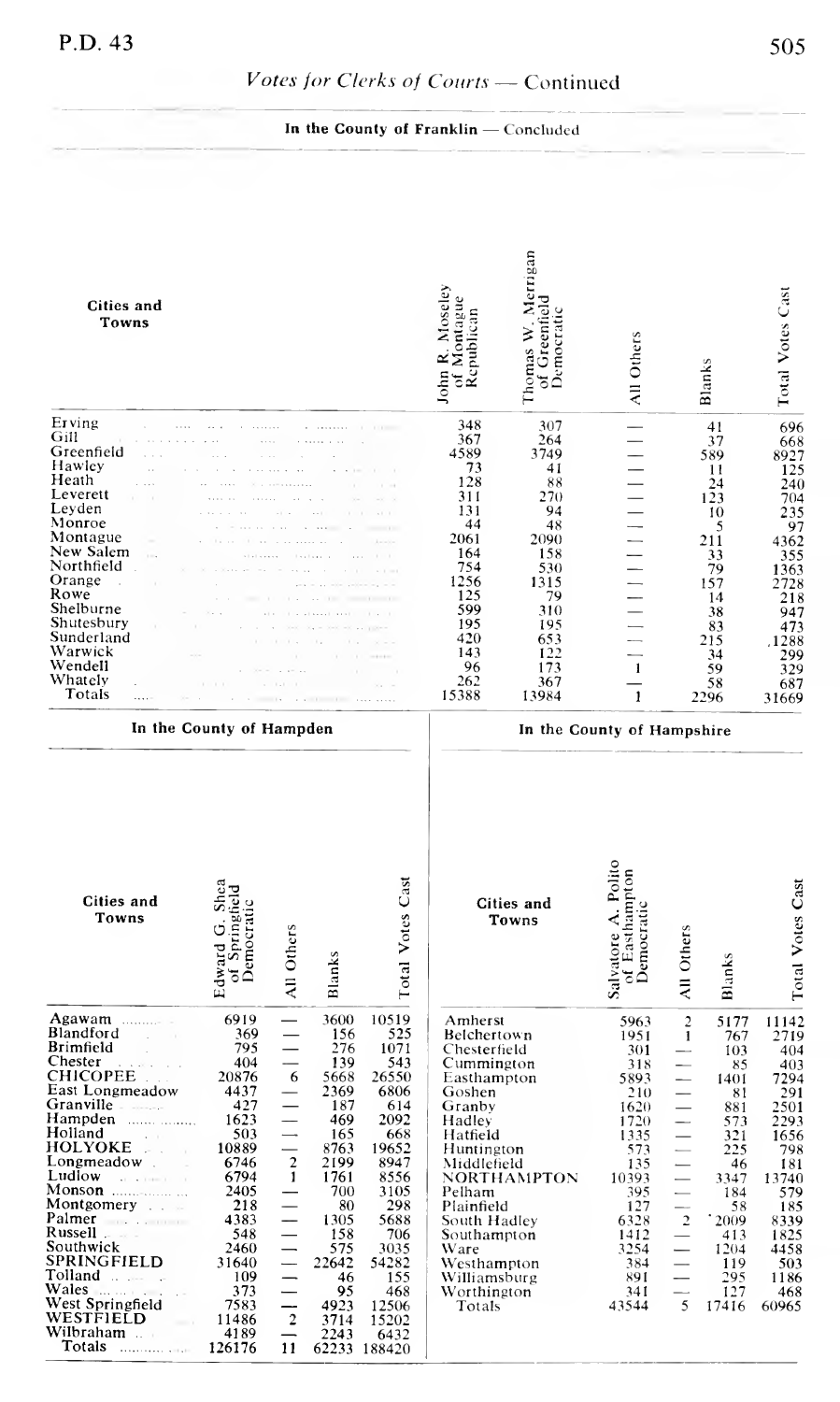|                                                                                                                                                                                                                                                                                                                                                                                                                                                                                                                                                                                                                                                                                                                                                                                                                                                                                                                                                            |                                                                                                                                                                                                  |                                                                                                                                                                         |                                                                                                                                                                                               |                                                                                                                                                                                              |                                                                                                                                                                                                                                                                   | In the County of Franklin - Concluded                                                                                             |                                                                                                                                                                                                              |                    |                                                                                                                                                           |                                                                                                                                               |
|------------------------------------------------------------------------------------------------------------------------------------------------------------------------------------------------------------------------------------------------------------------------------------------------------------------------------------------------------------------------------------------------------------------------------------------------------------------------------------------------------------------------------------------------------------------------------------------------------------------------------------------------------------------------------------------------------------------------------------------------------------------------------------------------------------------------------------------------------------------------------------------------------------------------------------------------------------|--------------------------------------------------------------------------------------------------------------------------------------------------------------------------------------------------|-------------------------------------------------------------------------------------------------------------------------------------------------------------------------|-----------------------------------------------------------------------------------------------------------------------------------------------------------------------------------------------|----------------------------------------------------------------------------------------------------------------------------------------------------------------------------------------------|-------------------------------------------------------------------------------------------------------------------------------------------------------------------------------------------------------------------------------------------------------------------|-----------------------------------------------------------------------------------------------------------------------------------|--------------------------------------------------------------------------------------------------------------------------------------------------------------------------------------------------------------|--------------------|-----------------------------------------------------------------------------------------------------------------------------------------------------------|-----------------------------------------------------------------------------------------------------------------------------------------------|
| Cities and<br>Towns                                                                                                                                                                                                                                                                                                                                                                                                                                                                                                                                                                                                                                                                                                                                                                                                                                                                                                                                        |                                                                                                                                                                                                  |                                                                                                                                                                         |                                                                                                                                                                                               |                                                                                                                                                                                              | John R. Moseley<br>of Montague<br>Republican                                                                                                                                                                                                                      | Thomas W. Merrigan<br>of Greenfield<br>Democratic                                                                                 | All Others                                                                                                                                                                                                   |                    | Blanks                                                                                                                                                    | Total Votes Cast                                                                                                                              |
| Erving<br>$\label{eq:1} \begin{array}{ll} \mathcal{L} & \mathcal{L}_{\text{GUT}}(\mathcal{L}_{\text{GUT}}) \end{array}$<br><b>Contractor</b><br>Gill<br>$\sim$<br>Greenfield<br>$\lambda$<br>$\sim$ $\sim$<br>Hawley<br>$\sim$<br>Heath<br>Leverett<br>$\sim$<br>Leyden<br>Monroe<br>Montague<br>New Salem<br>Northfield .<br>Orange<br>$\label{eq:2.1} \begin{array}{ll} \mathbf{a} & \mathbf{a} & \mathbf{a} & \mathbf{a} & \mathbf{a} & \mathbf{a} & \mathbf{a} \\ \mathbf{a} & \mathbf{a} & \mathbf{a} & \mathbf{a} & \mathbf{a} & \mathbf{a} \\ \mathbf{a} & \mathbf{a} & \mathbf{a} & \mathbf{a} & \mathbf{a} & \mathbf{a} \\ \mathbf{a} & \mathbf{a} & \mathbf{a} & \mathbf{a} & \mathbf{a} & \mathbf{a} \\ \mathbf{a} & \mathbf{a} & \mathbf{a} & \mathbf{a} & \$<br>Rowe<br>Shelburne<br>Shutesbury<br>Sunderland<br>Warwick<br>Wendell<br>Whately<br>Totals<br>$\mathcal{L}_{\rm{max}}$                                                          |                                                                                                                                                                                                  | 348<br>367<br>4589<br>73<br>128<br>311<br>131<br>44<br>2061<br>164<br>754<br>1256<br>125<br>599<br>195<br>420<br>143<br>96<br>262<br>15388                              | 307<br>264<br>3749<br>41<br>88<br>270<br>94<br>48<br>2090<br>158<br>530<br>1315<br>79<br>310<br>195<br>653<br>122<br>173<br>367<br>13984                                                      | _______________<br>$\frac{1}{1}$                                                                                                                                                             |                                                                                                                                                                                                                                                                   | 41<br>37<br>589<br>11<br>24<br>123<br>10<br>5<br>211<br>$\frac{33}{79}$<br>157<br>14<br>38<br>83<br>215<br>34<br>59<br>58<br>2296 | 696<br>$\begin{array}{r} 668 \\ 668 \\ 8927 \\ 125 \\ 240 \\ 704 \\ 235 \end{array}$<br>$\frac{235}{97}$<br>4362<br>$355$<br>$355$<br>$2728$<br>$218$<br>$947$<br>473<br>,1288<br>299<br>329<br>687<br>31669 |                    |                                                                                                                                                           |                                                                                                                                               |
|                                                                                                                                                                                                                                                                                                                                                                                                                                                                                                                                                                                                                                                                                                                                                                                                                                                                                                                                                            | In the County of Hampden                                                                                                                                                                         |                                                                                                                                                                         |                                                                                                                                                                                               |                                                                                                                                                                                              |                                                                                                                                                                                                                                                                   |                                                                                                                                   | In the County of Hampshire                                                                                                                                                                                   |                    |                                                                                                                                                           |                                                                                                                                               |
| Cities and<br>Towns                                                                                                                                                                                                                                                                                                                                                                                                                                                                                                                                                                                                                                                                                                                                                                                                                                                                                                                                        | Shea<br>of Springfield<br>Democratic<br>Edward G.                                                                                                                                                | All Others                                                                                                                                                              | Blanks                                                                                                                                                                                        | Total Votes Cast                                                                                                                                                                             |                                                                                                                                                                                                                                                                   | Cities and<br>Towns                                                                                                               | Salvatore A. Polito<br>of Easthampton<br>Democratic                                                                                                                                                          | All Others         | Blanks                                                                                                                                                    | 2719<br>2719<br>404<br>404                                                                                                                    |
| Agawam<br>Blandford<br>$\sim$<br>Brimfield<br>Chester<br>CHICOPEE<br>East Longmeadow<br>Granville<br>$\label{eq:2} \begin{array}{ll} \mathcal{L}_{\mathcal{A}}(x,y) = \mathcal{L}_{\mathcal{A}}(x,y) \mathcal{L}_{\mathcal{A}}(x,y) \mathcal{L}_{\mathcal{A}}(x,y) \mathcal{L}_{\mathcal{A}}(x,y) \mathcal{L}_{\mathcal{A}}(x,y) \mathcal{L}_{\mathcal{A}}(x,y) \mathcal{L}_{\mathcal{A}}(x,y) \mathcal{L}_{\mathcal{A}}(x,y) \mathcal{L}_{\mathcal{A}}(x,y) \mathcal{L}_{\mathcal{A}}(x,y) \mathcal{L}_{\mathcal{A}}(x,y) \mathcal{L}_{\mathcal{A}}($<br>Hampden<br>Holland<br>$\frac{1}{2}$ .<br>HOLYOKE<br>Longmeadow<br>Ludlow<br>$\alpha$ , $\alpha$ (see<br>Monson<br>Montgomery<br>Palmer<br>$\mathcal{L}(\mathcal{L}(\mathcal{L})) \rightarrow \mathcal{L}(\mathcal{L}(\mathcal{L}))$<br>Russell<br>Southwick<br>SPRINGFIELD<br>Tolland<br>$\alpha$ , $\beta$ , $\beta$<br>Wales<br>West Springfield<br>WESTFIELD<br>Wilbraham<br>$\sim$<br>Totals | 6919<br>369<br>795<br>404<br>20876<br>4437<br>427<br>1623<br>503<br>10889<br>6746<br>6794<br>2405<br>218<br>4383<br>548<br>2460<br>31640<br>109<br>$\frac{373}{7583}$<br>11486<br>4189<br>126176 | $\frac{1}{1}$ $\frac{1}{1}$ $\frac{1}{6}$ $\frac{1}{1}$ $\frac{1}{1}$ $\frac{1}{1}$ $\frac{1}{2}$ $\frac{1}{1}$ $\frac{1}{1}$ $\frac{1}{1}$ $\frac{1}{1}$ $\frac{1}{1}$ | 3600<br>156<br>276<br>139<br>5668<br>2369<br>187<br>469<br>165<br>8763<br>2199<br>1761<br>700<br>80<br>1305<br>$\frac{158}{575}$<br>22642<br>46<br>95<br>4923<br>$\frac{3714}{2243}$<br>62233 | 10519<br>525<br>1071<br>543<br>26550<br>6806<br>614<br>2092<br>668<br>19652<br>8947<br>8556<br>3105<br>298<br>5688<br>706<br>3035<br>54282<br>155<br>468<br>12506<br>15202<br>6432<br>188420 | Amherst<br>Belchertown<br>Chesterfield<br>Cummington<br>Easthampton<br>Goshen<br>Granby<br>Hadley<br>Hatfield<br>Huntington<br>Middlefield<br>Pelham<br>Plainfield<br>South Hadley<br>Southampton<br>Ware<br>Westhampton<br>Williamsburg<br>Worthington<br>Totals | NORTHAMPTON                                                                                                                       | 5963<br>1951<br>301<br>318<br>5893<br>210<br>1620<br>1720<br>1335<br>573<br>135<br>10393<br>127<br>$6328$<br>1412<br>3254<br>384<br>891<br>341<br>43544                                                      | $\frac{2}{1}$<br>5 | $\frac{5177}{767}$<br>103<br>85<br>1401<br>81<br>881<br>$\frac{573}{321}$<br>46<br>3347<br>184<br>58<br>2009<br>413<br>1204<br>119<br>295<br>127<br>17416 | $\frac{403}{7294}$<br>2501<br>2293<br>1656<br>798<br>181<br>13740<br>579<br>$\frac{185}{8339}$<br>1825<br>4458<br>503<br>1186<br>468<br>60965 |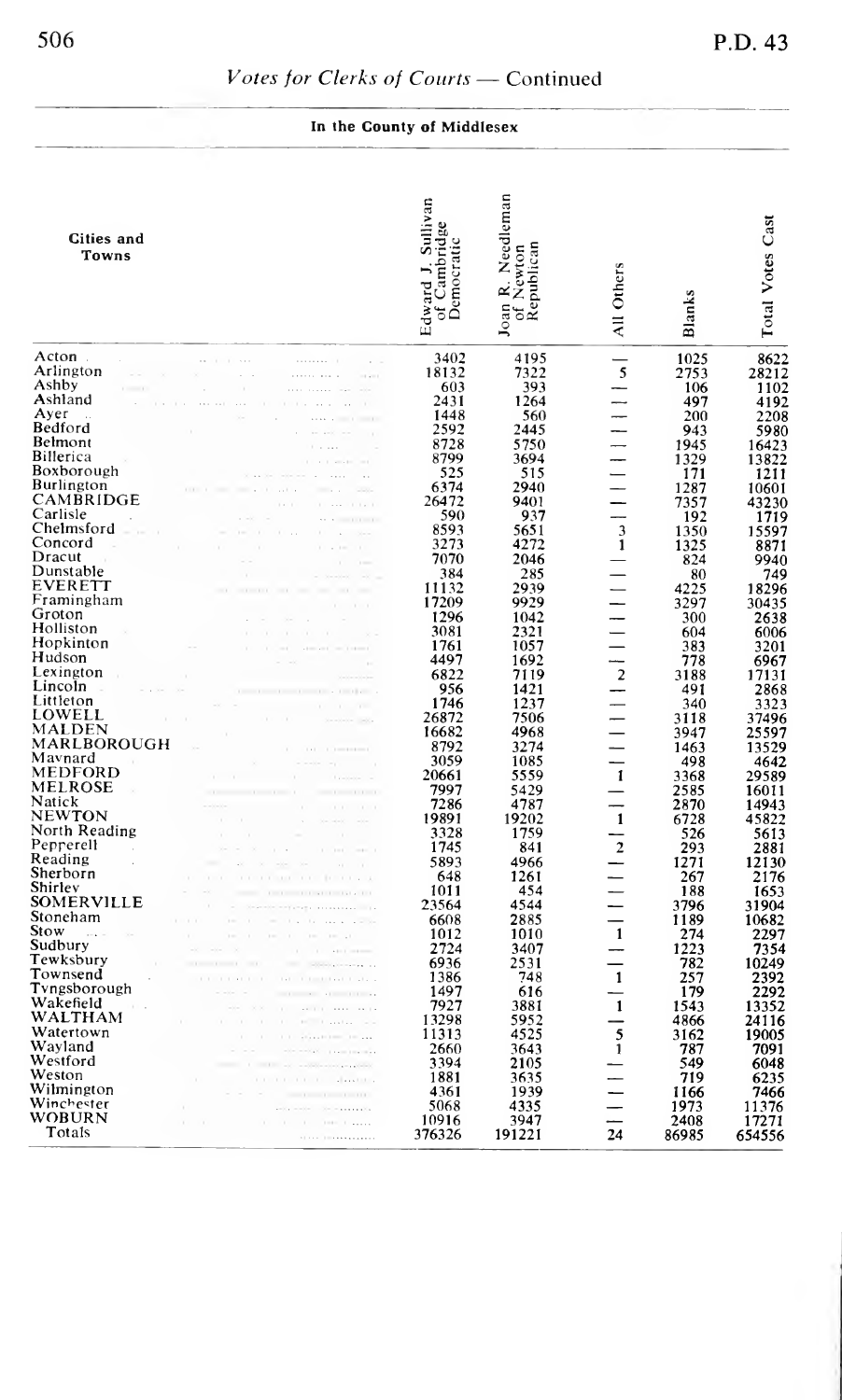#### In the County of Middlesex

| Cities and<br>Towns                               |                                                                             | Sullivan<br>Cambridge<br>Democratic<br>Edward J.<br>ă | Needleman<br>publican<br>Newton<br>$\stackrel{\sim}{\simeq}$<br>Joan<br>.<br>Rej<br>ă | Others<br>₹,  | Blanks       | <b>Total Votes Cast</b> |
|---------------------------------------------------|-----------------------------------------------------------------------------|-------------------------------------------------------|---------------------------------------------------------------------------------------|---------------|--------------|-------------------------|
| Acton                                             |                                                                             | 3402                                                  | 4195                                                                                  |               | 1025         | 8622                    |
| Arlington                                         | .<br>and and<br>and a                                                       | 18132                                                 | 7322                                                                                  | 5             | 2753         | 28212                   |
| Ashby<br>Ashland                                  | $\lambda$<br><b>State Street</b>                                            | 603<br>2431                                           | 393<br>1264                                                                           |               | 106<br>497   | 1102<br>4192            |
| $\mathcal{L} = \mathcal{L}$<br>Aver<br>$\sim$ 100 | record and an                                                               | 1448                                                  | 560                                                                                   |               | 200          | 2208                    |
| Bedford                                           |                                                                             | 2592                                                  | 2445                                                                                  |               | 943          | 5980                    |
| Belmont                                           |                                                                             | 8728                                                  | 5750                                                                                  |               | 1945         | 16423                   |
| Billerica                                         | <b>Contract</b>                                                             | 8799                                                  | 3694                                                                                  |               | 1329         | 13822                   |
| Boxborough                                        |                                                                             | 525                                                   | 515                                                                                   |               | 171          | 1211                    |
| Burlington                                        | mark and                                                                    | 6374                                                  | 2940                                                                                  |               | 1287         | 10601                   |
| CAMBRIDGE<br>Carlisle                             | the contract of the con-                                                    | 26472<br>590                                          | 9401<br>937                                                                           |               | 7357         | 43230                   |
| Chelmsford                                        | or a company of<br>$-100 - 100$                                             | 8593                                                  | 5651                                                                                  |               | 192<br>1350  | 1719<br>15597           |
| Concord                                           |                                                                             | 3273                                                  | 4272                                                                                  | $\frac{1}{3}$ | 1325         | 8871                    |
| Dracut                                            |                                                                             | 7070                                                  | 2046                                                                                  |               | 824          | 9940                    |
| Dunstable                                         | $\sim$                                                                      | 384                                                   | 285                                                                                   |               | 80           | 749                     |
| EVERETT                                           |                                                                             | 11132                                                 | 2939                                                                                  |               | 4225         | 18296                   |
| Framingham<br>Groton                              |                                                                             | 17209                                                 | 9929                                                                                  |               | 3297         | 30435                   |
| Holliston                                         | The Committee of the                                                        | 1296<br>3081                                          | 1042<br>2321                                                                          |               | 300<br>604   | 2638<br>6006            |
| Hopkinton                                         | and the company                                                             | 1761                                                  | 1057                                                                                  |               | 383          | 3201                    |
| Hudson                                            |                                                                             | 4497                                                  | 1692                                                                                  |               | 778          | 6967                    |
| Lexington                                         |                                                                             | 6822                                                  | 7119                                                                                  | $\frac{1}{2}$ | 3188         | 17131                   |
| Lincoln .                                         |                                                                             | 956                                                   | 1421                                                                                  |               | 491          | 2868                    |
| Littleton<br><b>LOWELL</b>                        | and the contract of the con-                                                | 1746                                                  | 1237                                                                                  |               | 340          | 3323                    |
| MALDEN                                            |                                                                             | 26872<br>16682                                        | 7506<br>4968                                                                          |               | 3118         | 37496                   |
| MARLBOROUGH                                       |                                                                             | 8792                                                  | 3274                                                                                  |               | 3947<br>1463 | 25597<br>13529          |
| Mavnard                                           |                                                                             | 3059                                                  | 1085                                                                                  |               | 498          | 4642                    |
| <b>MEDFORD</b>                                    |                                                                             | 20661                                                 | 5559                                                                                  | $\mathbf{1}$  | 3368         | 29589                   |
| MELROSE                                           |                                                                             | 7997                                                  | 5429                                                                                  |               | 2585         | 16011                   |
| Natick                                            |                                                                             | 7286                                                  | 4787                                                                                  |               | 2870         | 14943                   |
| <b>NEWTON</b><br>North Reading                    | $\sim 10-10$                                                                | 19891                                                 | 19202                                                                                 | $\mathbf{1}$  | 6728         | 45822                   |
| Pepperell                                         | <b>Service</b>                                                              | 3328<br>1745                                          | 1759<br>841                                                                           | $\frac{1}{2}$ | 526<br>293   | 5613                    |
| Reading                                           |                                                                             | 5893                                                  | 4966                                                                                  |               | 1271         | 2881<br>12130           |
| Sherborn                                          | a construction of person                                                    | 648                                                   | 1261                                                                                  |               | 267          | 2176                    |
| Shirley                                           | the company of the company of the company                                   | 1011                                                  | 454                                                                                   |               | 188          | 1653                    |
| SOMERVILLE                                        | $\sim$                                                                      | 23564                                                 | 4544                                                                                  |               | 3796         | 31904                   |
| Stoneham<br>Stow                                  |                                                                             | 6608                                                  | 2885                                                                                  | $\frac{1}{1}$ | 1189         | 10682                   |
| $\sim$<br>Sudbury                                 | The Control                                                                 | 1012                                                  | 1010                                                                                  |               | 274          | 2297                    |
| Tewksbury                                         | the contract of the contract of<br><b>CONTRACTOR</b><br><b>Construction</b> | 2724<br>6936                                          | 3407<br>2531                                                                          |               | 1223<br>782  | 7354<br>10249           |
| Townsend                                          | THE R. P. LEWIS CO., LANSING MICH.                                          | 1386                                                  | 748                                                                                   | $\frac{1}{1}$ | 257          | 2392                    |
| Tvngsborough                                      | $\sim$ 1000 $\sim$                                                          | 1497                                                  | 616                                                                                   |               | 179          | 2292                    |
| Wakefield                                         | the second company was an as-                                               | 7927                                                  | 3881                                                                                  | $\frac{1}{1}$ | 1543         | 13352                   |
| WALTHAM                                           | the contract of the managers and                                            | 13298                                                 | 5952                                                                                  |               | 4866         | 24116                   |
| Watertown<br>Wayland                              | $\mathcal{L}(\mathcal{L})$ , and the contract of $\mathcal{L}(\mathcal{L})$ | 11313<br>2660                                         | 4525<br>3643                                                                          | $\frac{1}{3}$ | 3162         | 19005                   |
| Westford                                          |                                                                             | 3394                                                  | 2105                                                                                  |               | 787<br>549   | 7091<br>6048            |
| Weston                                            | the committee about the committee                                           | 1881                                                  | 3635                                                                                  |               | 719          | 6235                    |
| Wilmington                                        | <b>Contract Contract Contract</b>                                           | 4361                                                  | 1939                                                                                  |               | 1166         | 7466                    |
| Winchester                                        |                                                                             | 5068                                                  | 4335                                                                                  |               | 1973         | 11376                   |
| <b>WOBURN</b>                                     |                                                                             | 10916                                                 | 3947                                                                                  |               | 2408         | 17271                   |
| Totals                                            |                                                                             | 376326                                                | 191221                                                                                | 24            | 86985        | 654556                  |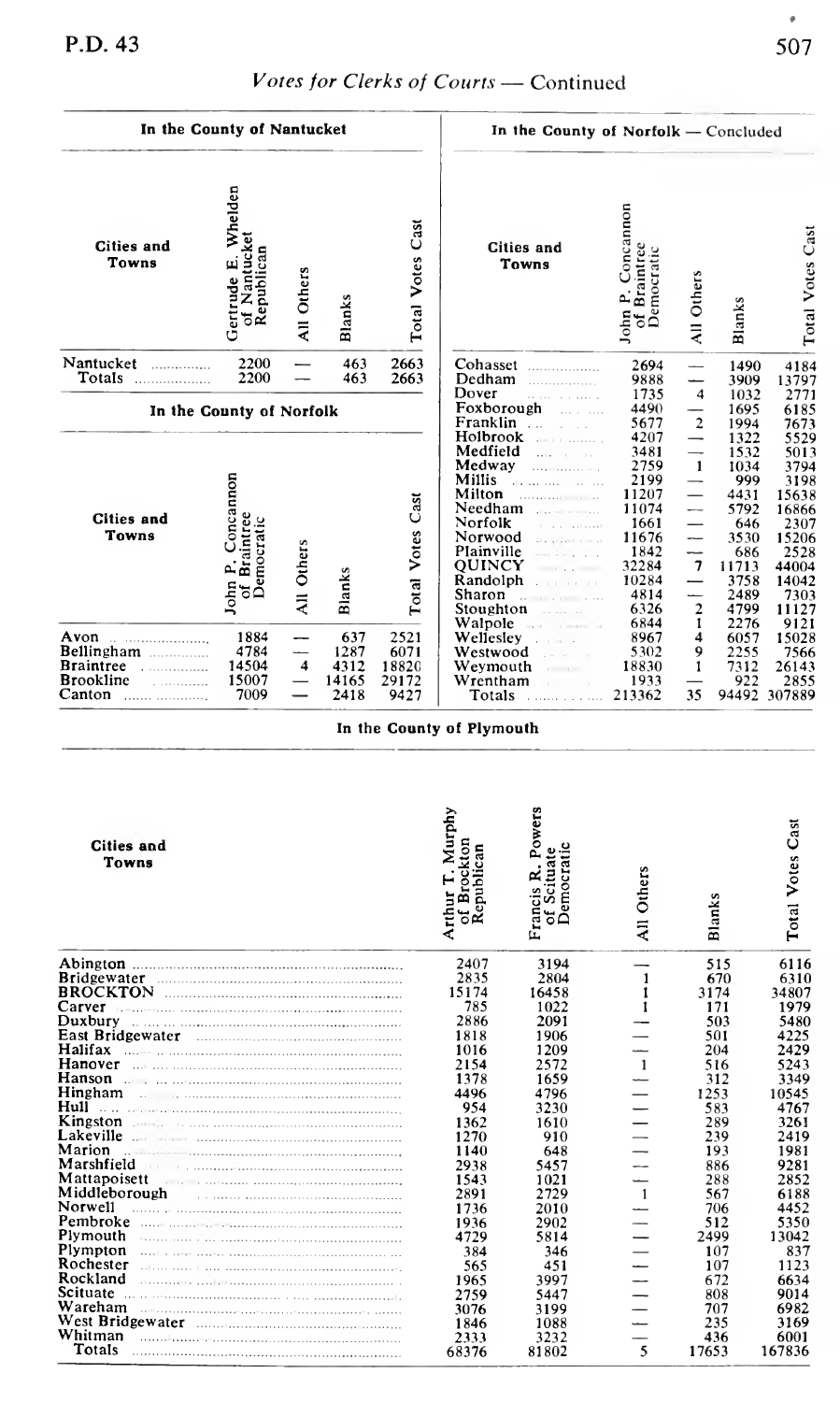# Votes for Clerks of Courts — Continued

|                                                                                                                                                                                                                                                                                                                                                                                            | In the County of Nantucket                           |                         |                                      |                                        |                                                                                                                                                                                                                            | In the County of Norfolk - Concluded                                                                                                                                                                                       |                                                                                                           |                                                       |                                                                                                                                                                                                            |                                                                                                                                                                                                                                  |
|--------------------------------------------------------------------------------------------------------------------------------------------------------------------------------------------------------------------------------------------------------------------------------------------------------------------------------------------------------------------------------------------|------------------------------------------------------|-------------------------|--------------------------------------|----------------------------------------|----------------------------------------------------------------------------------------------------------------------------------------------------------------------------------------------------------------------------|----------------------------------------------------------------------------------------------------------------------------------------------------------------------------------------------------------------------------|-----------------------------------------------------------------------------------------------------------|-------------------------------------------------------|------------------------------------------------------------------------------------------------------------------------------------------------------------------------------------------------------------|----------------------------------------------------------------------------------------------------------------------------------------------------------------------------------------------------------------------------------|
| <b>Cities</b> and<br>Towns                                                                                                                                                                                                                                                                                                                                                                 | E. Whelden<br>of Nantucket<br>Republican<br>Gertrude | All Others              | <b>Blanks</b>                        | Cast<br>Total Votes                    |                                                                                                                                                                                                                            | <b>Cities and</b><br>Towns                                                                                                                                                                                                 |                                                                                                           | All Others                                            | Blanks                                                                                                                                                                                                     | Total Votes Cast                                                                                                                                                                                                                 |
| Nantucket<br>.<br>Totals<br>.                                                                                                                                                                                                                                                                                                                                                              | 2200<br>2200                                         |                         | 463<br>463                           | 2663<br>2663                           | Cohasset<br>Dedham                                                                                                                                                                                                         |                                                                                                                                                                                                                            | 2694<br>9888                                                                                              |                                                       | 1490<br>3909                                                                                                                                                                                               | 4184<br>13797                                                                                                                                                                                                                    |
|                                                                                                                                                                                                                                                                                                                                                                                            | In the County of Norfolk                             |                         |                                      |                                        | Dover<br>Foxborough<br>Franklin                                                                                                                                                                                            |                                                                                                                                                                                                                            | 1735<br>4490<br>5677                                                                                      |                                                       | 1032<br>1695                                                                                                                                                                                               | 2771<br>6185<br>7673                                                                                                                                                                                                             |
| <b>Cities and</b><br>Towns                                                                                                                                                                                                                                                                                                                                                                 | John P. Concannon<br>of Braintree<br>Democratic      | All Others              | <b>Blanks</b>                        | Total Votes Cast                       | Holbrook<br>Medfield<br>Medway<br>Millis<br>Milton<br>Needham<br>Norfolk<br>Norwood<br>Plainville<br>QUINCY<br>Randolph<br>Sharon<br>Stoughton                                                                             | $\sim$                                                                                                                                                                                                                     | 4207<br>3481<br>2199<br>11207<br>11074<br>1661<br>11676<br>1842<br>32284<br>10284<br>4814<br>6326<br>6844 | $-4$ $-2$ $-1$ $-1$ $-1$ $-2$ $-7$ $-2$ $-1$ $-4$ 9 1 | 1994<br>1322<br>1532<br>1034<br>999<br>4431<br>5792<br>646<br>3530<br>686<br>11713<br>3758<br>2489<br>4799                                                                                                 | 5529<br>5013<br>3794<br>3198<br>15638<br>16866<br>2307<br>15206<br>2528<br>44004<br>14042<br>7303<br>11127<br>9121                                                                                                               |
| Avon<br>Bellingham<br><b>Braintree</b><br>Brookline<br>Canton                                                                                                                                                                                                                                                                                                                              | 1884<br>4784<br>14504<br>15007<br>7009               | $\overline{\mathbf{4}}$ | 637<br>1287<br>4312<br>14165<br>2418 | 2521<br>6071<br>18820<br>29172<br>9427 | Walpole<br>Wellesley<br>Westwood<br>Weymouth<br>Wrentham<br>Totals                                                                                                                                                         | $\sim$                                                                                                                                                                                                                     | 8967<br>5302<br>18830<br>1933<br>213362                                                                   | 35                                                    | 2276<br>6057<br>2255<br>7312<br>922<br>94492                                                                                                                                                               | 15028<br>7566<br>26143<br>307889                                                                                                                                                                                                 |
|                                                                                                                                                                                                                                                                                                                                                                                            |                                                      |                         |                                      |                                        | In the County of Plymouth                                                                                                                                                                                                  |                                                                                                                                                                                                                            |                                                                                                           |                                                       |                                                                                                                                                                                                            |                                                                                                                                                                                                                                  |
| <b>Cities and</b><br>Towns                                                                                                                                                                                                                                                                                                                                                                 |                                                      |                         |                                      |                                        | Arthur T. Murphy<br>of Brockton<br>Republican                                                                                                                                                                              | Francis R. Powers<br>of Scituate<br>Democratic                                                                                                                                                                             | All Others                                                                                                |                                                       | <b>Blanks</b>                                                                                                                                                                                              | <b>Total Votes Cast</b>                                                                                                                                                                                                          |
| Bridgewater<br><b>BROCKTON</b><br>Carver<br>Duxbury<br>Duxbury<br>East Bridgewater<br>Halifax<br>antes a monitorio comunicamente con interna<br><b>Hanover</b><br>Hanson<br>Hingham<br>Hull<br>Lakeville<br>Marion<br>Marshfield<br>Mattapoisett<br>Middleborough<br>Norwell<br>.<br>Pembroke<br>Plymouth<br>Plympton<br>Rochester<br>Rockland<br>Scituate<br>Wareham<br>Whitman<br>Totals | met i dele mien millionismum distintamentu           |                         |                                      |                                        | 2407<br>2835<br>15174<br>785<br>2886<br>1818<br>1016<br>2154<br>1378<br>4496<br>954<br>1362<br>1270<br>1140<br>2938<br>1543<br>2891<br>1736<br>1936<br>4729<br>384<br>565<br>1965<br>2759<br>3076<br>1846<br>2333<br>68376 | 3194<br>2804<br>16458<br>1022<br>2091<br>1906<br>1209<br>2572<br>1659<br>4796<br>3230<br>1610<br>910<br>648<br>5457<br>1021<br>2729<br>2010<br>2902<br>5814<br>346<br>451<br>3997<br>5447<br>3199<br>1088<br>3232<br>81802 | $\mathbf{1}$<br>5                                                                                         | 17653                                                 | $\frac{515}{670}$<br>3174<br>171<br>503<br>501<br>204<br>$\frac{516}{312}$<br>1253<br>583<br>289<br>239<br>193<br>886<br>288<br>567<br>706<br>512<br>2499<br>107<br>107<br>672<br>808<br>707<br>235<br>436 | 6116<br>6310<br>34807<br>1979<br>5480<br>4225<br>2429<br>5243<br>3349<br>10545<br>4767<br>3261<br>2419<br>1981<br>9281<br>2852<br>6188<br>4452<br>5350<br>13042<br>837<br>1123<br>6634<br>9014<br>6982<br>3169<br>6001<br>167836 |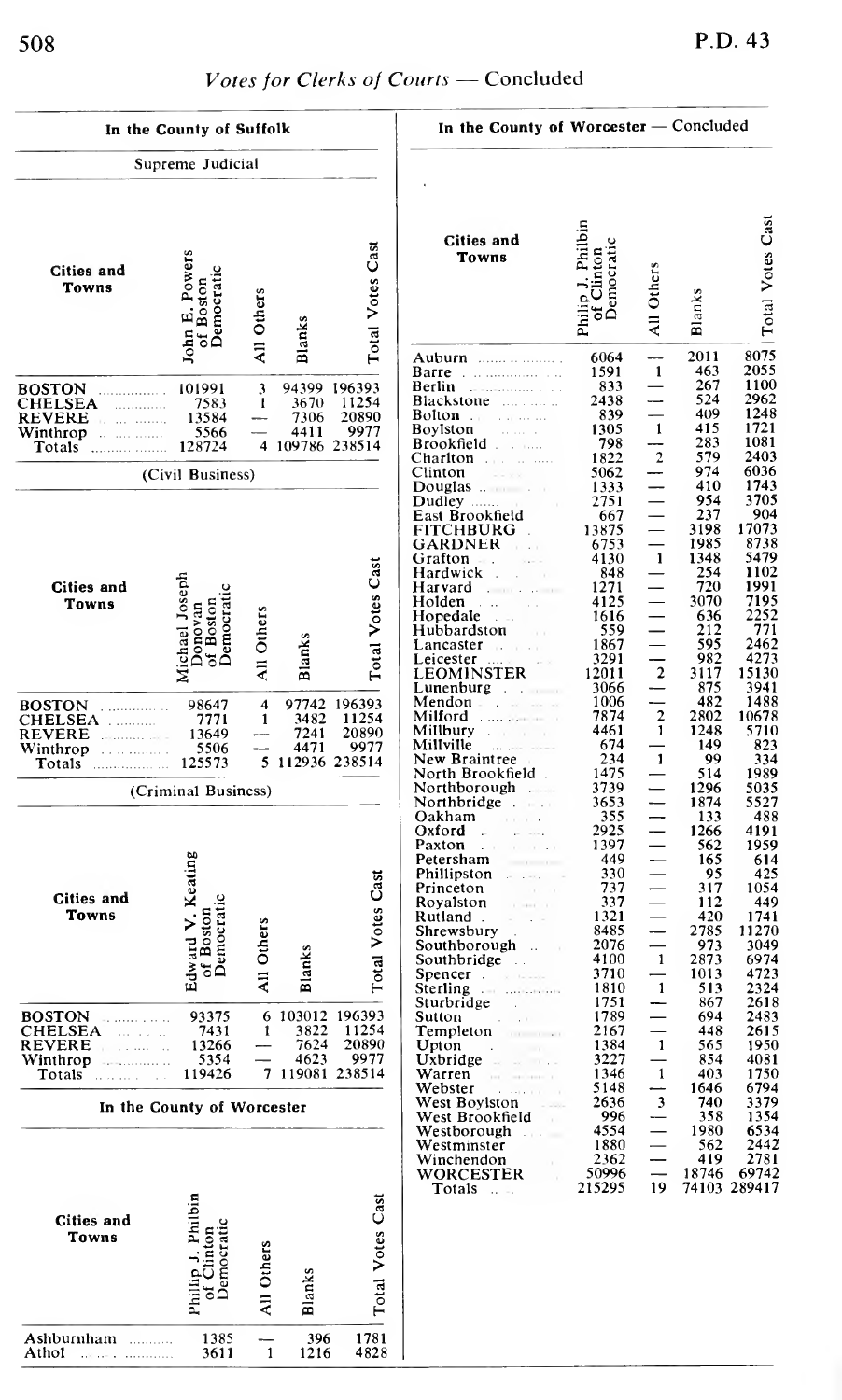# In the County of Suffolk In the County of Worcester — Concluded Supreme Judicial John E. Powers<br>of Boston<br>Democratic<br>All Others Total Votes Cast Cities and Blanks **BOSTON 101991 3 94399 196393 1 21254 1 3670 11254 REVERE 13584 1 3670 11254 PM**<br> **REVERE 13584 — 7306 20890 Winthrop 5566 — 4411 9977**<br> **Totals — 128724 4 109786 238514** 4 109786 238514 (Civil Business) Total Votes Cast Cities and<br>Towns<br>Towns<br>Conservation Towns  $\frac{8}{3}$  $\frac{6}{3}$  $\frac{1}{3}$  $\frac{1}{3}$   $\frac{1}{3}$ ਰੂਖੋਬ<br>ਬੁਖ਼ਬ BOSTON 98647 4 97742 196393 M<br>CHELSEA 7771 1 3482 11254 MELSEA 7771 1 3482 11254<br>Winthrop 13649 — 7241 9977 Mi Vinthrop 5506 - 4471 9977<br>Totals 125573 5 112936 238514 (Criminal Business) Total Votes Cast <sup>u</sup><sup>M</sup> .«s Cities and Towns «»§ 5 s < **BOSTON 93375 6 103012 196393 CHELSEA 7431 1 1254 11254 PREVERE 13266 — 7624 1225 11254 PREVERE 1326**<br> **REVERE 13266 — 7624 20890 Winthrop 5354 — 4623 9977**<br> **Totals — 119426 7 119081 238514** 7 119081 238514 In the County of Worcester Cities and<br>Towns<br>Towns<br>Example: J. Philbin<br>Phillip J. Philbin<br>Cocordic Total Votes Cast Towns All Others Blanks 396 1781<br>216 4828 Ashburnham  $\frac{1385}{3611}$  - 1 Athol 1216

| <b>Cities and</b><br>Towns                                                                                                                                                                                                                                                                               | Philip J. Phil<br>of Clinton | Blanks                                                                                                                                                                                                                                                                                                                                                                                                                                                                                                                          | Total Votes Cast                                                                                                                                                                                                                                                                                                                                                                                                                                                                                                                           |
|----------------------------------------------------------------------------------------------------------------------------------------------------------------------------------------------------------------------------------------------------------------------------------------------------------|------------------------------|---------------------------------------------------------------------------------------------------------------------------------------------------------------------------------------------------------------------------------------------------------------------------------------------------------------------------------------------------------------------------------------------------------------------------------------------------------------------------------------------------------------------------------|--------------------------------------------------------------------------------------------------------------------------------------------------------------------------------------------------------------------------------------------------------------------------------------------------------------------------------------------------------------------------------------------------------------------------------------------------------------------------------------------------------------------------------------------|
| Auburn<br>Barre<br>Berlin<br>Berlin (1986)<br>Backstone 8338<br>Bookheld 1308<br>Bookheld 1308<br>Bookheld 1308<br>Bookheld 1308<br>Charlotter (1322<br>Charlotter 1322<br>Charlotter 1327<br>ETTCHBURG 13875<br>Grafton 1387<br>Grafton 1413<br>Graftone 44130<br>Hardwick 1387<br>Grafton 1412<br>Hard | 6064<br>1591<br>833          | 2011<br>463<br>267<br>524<br>409<br>415<br>283<br>579<br>974<br>410<br>954<br>237<br>3198<br>1985<br>1348<br>254<br>720<br>3070<br>636<br>212<br>595<br>$\frac{982}{3117}$<br>$\frac{875}{482}$<br>2802<br>1248<br>149<br>99<br>$\frac{514}{1296}$<br>1874<br>133<br>1266<br>$\frac{562}{165}$<br>$\frac{95}{95}$<br>$\frac{317}{112}$<br>$\frac{420}{2785}$<br>$\frac{973}{2873}$<br>$\frac{2873}{1013}$<br>$\frac{513}{867}$<br>694<br>448<br>565<br>854<br>403<br>1646<br>740<br>358<br>1980<br>562<br>419<br>18746<br>74103 | 8075<br>2055<br>1100<br>2962<br>$\frac{1248}{1721}$<br>1081<br>2403<br>6036<br>1743<br>3705<br>904<br>17073<br>8738<br>5479<br>1102<br>1991<br>7195<br>2252<br>2771<br>2462<br>4273<br>15130<br>3941<br>1488<br>10678<br>5710<br>823<br>334<br>1989<br>5035<br>5527<br>488<br>$488$<br>$191$<br>$1959$<br>$614$<br>$425$<br>$1054$<br>449<br>$\frac{1741}{11270}$<br>6974<br>4723<br>2324<br>2618<br>2483<br>2615<br>1950<br>$1950$<br>$4081$<br>$1750$<br>$6794$<br>$3379$<br>$1354$<br>$6534$<br>$2442$<br>$2781$<br>$69742$<br>$289417$ |

### Votes for Clerks of Courts — Concluded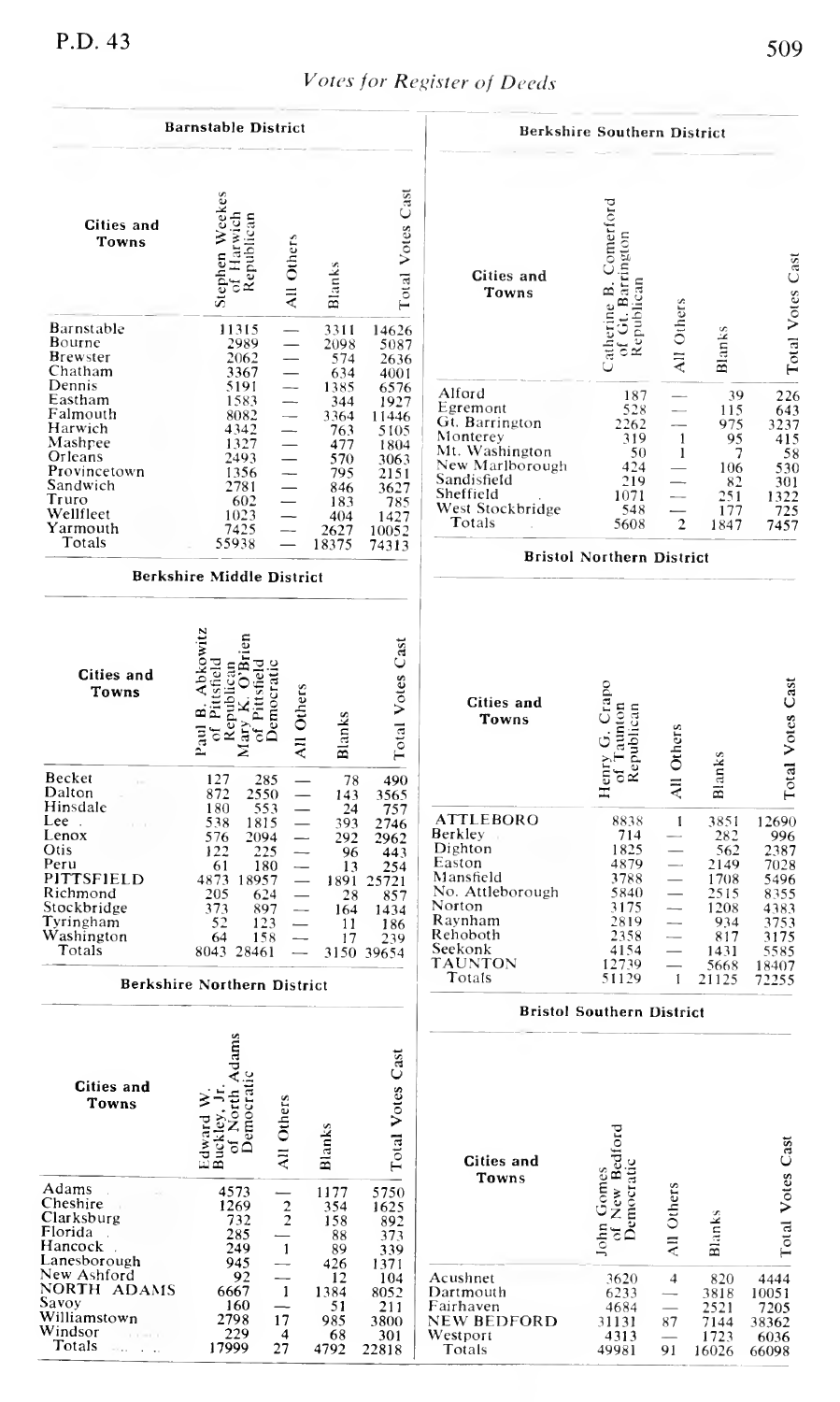#### Votes for Register of Deeds

**P.D.** 43  $509$ Barnstable District Votes Cast Cities and nuesand  $\geq \geq \geq 0$ anks  $\bar{z}$ ≅ Barnstable <sup>11315</sup> — <sup>3311</sup> <sup>14626</sup> Bourne <sup>2989</sup> — <sup>2098</sup> <sup>5087</sup> Bourne<br>
Brewster 2969 — 2098 5087<br>
Chatham 3367 — 574 2636<br>
Chatham 3367 — 1385 6576<br>
Chatham 1583 — 1385 6576<br>
Eastham 1583 — 3364 11446 Eg<br>
Eastham 1582 — 3364 11446 Eg<br>
Falmouth 4382 — 3364 11446 Eg<br>
Mashpee 2493 — 376 Wellfleet <sup>1023</sup> — <sup>404</sup> <sup>1427</sup> Yarmouth <sup>7425</sup> — <sup>2627</sup> <sup>10052</sup> Wellfleet  $\begin{array}{r} 1023 \\ 1023 \\ 1425 \\ \end{array}$   $\begin{array}{r} 163 \\ -404 \\ 1427 \\ -2627 \\ 10052 \\ \end{array}$ <br>
Totals 55938 - 18375 74313 Berkshire Middle District **Total Votes Cast**  $T$ owns<br>  $\begin{array}{ll}\n\text{Thus, and} \\
\downarrow \text{A} & \downarrow \text{A} \\
\downarrow \text{B} & \downarrow \text{C} \\
\downarrow \text{C} & \downarrow \text{C} \\
\downarrow \text{C} & \downarrow \text{C} \\
\downarrow \text{C} & \downarrow \text{C} \\
\downarrow \text{C} & \downarrow \text{C} \\
\downarrow \text{C} & \downarrow \text{C} \\
\downarrow \text{C} & \downarrow \text{C} \\
\downarrow \text{C} & \downarrow \text{C} \\
\downarrow \text{C} & \downarrow \text{C} \\
\downarrow \text{C} & \downarrow \text{$ Cities and<br>Towns  $\frac{1}{2}$  on  $\frac{1}{2}$  on  $\frac{1}{2}$  on  $\frac{1}{2}$  and  $\frac{1}{2}$  and  $\frac{1}{2}$  and  $\frac{1}{2}$  and  $\frac{1}{2}$  and  $\frac{1}{2}$  and  $\frac{1}{2}$  and  $\frac{1}{2}$  and  $\frac{1}{2}$  and  $\frac{1}{2}$  and  $\frac{1}{2}$  and  $\frac{1}{2}$  and  $\frac{1}{2}$  and Becket 127 285 78 490 Dalton 143 3565 872 2550 180 553 Hinsdale  $\frac{757}{2746}$ Lee 538 1815 393<br>292 Lenox 576 2094  $2962$  $\frac{22}{61}$   $\frac{225}{180}$  - $\frac{96}{13}$  $\frac{1502}{443}$ Otis<br>Peru PITTSFIELD 4873  $1891$ 5721  $\overline{\phantom{a}}$ Richmond  $857$  $28$ 205 624 Stockbridge  $\frac{573}{52}$  $164$ 1434  $\frac{897}{123} =$ Tyringham Washington . Ϊĭ 186 52 64  $\frac{64}{8043}$   $\frac{158}{28461}$  -  $\frac{17}{3150}$   $\frac{239}{39654}$ Totals **Berkshire Northern District** 

| Cities and<br>Towns | dams<br>crati<br>Edward<br>Buckley<br>uckley | All Others    | Blanks | Cast<br>Total Votes |  |
|---------------------|----------------------------------------------|---------------|--------|---------------------|--|
| Adams               | 4573                                         |               | 1177   | 5750                |  |
| Cheshire            | 1269                                         |               | 354    | 1625                |  |
| Clarksburg          | 732                                          | $\frac{2}{2}$ | 158    | 892                 |  |
| Florida             | 285                                          |               | 88     | 373                 |  |
| Hancock             | 249                                          |               | 89     | 339                 |  |
| Lanesborough        | 945                                          |               | 426    | 1371                |  |
| New Ashford         | 92                                           |               | 12     | 104                 |  |
| NORTH ADAMS         | 6667                                         |               | 1384   | 8052                |  |
| Savov               | 160                                          |               | 51     | 211                 |  |
| Williamstown        | 2798                                         | 17            | 985    | 3800                |  |
| Windsor             | 229                                          |               | 68     | 301                 |  |
| Totals              | 17999                                        | 27            | 4792   | 22818               |  |

|                                                                                                                                                              | <b>Berkshire Southern District</b>                                                                    |                                 |                                                                                                                   |                                                                                                                                    |
|--------------------------------------------------------------------------------------------------------------------------------------------------------------|-------------------------------------------------------------------------------------------------------|---------------------------------|-------------------------------------------------------------------------------------------------------------------|------------------------------------------------------------------------------------------------------------------------------------|
| Cities and<br>Towns                                                                                                                                          | Catherine B. Comerford<br>of Gt. Barrington<br>Republican                                             |                                 | Blanks                                                                                                            | Total Votes Cast                                                                                                                   |
| Alford<br>Egremont<br>Gt. Barrington<br>Monterey<br>Monterey<br>New Marlborough<br>Sandisfield<br>Sheffield<br>West Stockbridge<br>Totals                    | $\begin{array}{r} 187 \\ 528 \\ 2262 \\ 319 \\ 50 \\ 424 \\ 219 \\ 1071 \\ 548 \\ 5608 \end{array}$   | $\frac{1}{1}$<br>$\overline{2}$ | 39<br>115<br>975<br>9<br>ġ<br>$\frac{5}{7}$<br>106<br>$\frac{82}{51}$<br>$\frac{2}{1}$<br>1847                    | $\begin{array}{r} \boxed{226} \\ 643 \\ 3237 \\ 415 \\ 58 \\ 530 \\ 301 \\ 1322 \\ 725 \\ 7457 \end{array}$                        |
|                                                                                                                                                              | <b>Bristol Northern District</b>                                                                      |                                 |                                                                                                                   |                                                                                                                                    |
| <b>Cities and</b><br>Towns                                                                                                                                   | Henry G. Crapo<br>of Taunton<br>Republican                                                            |                                 | Blanks                                                                                                            | <b>Total Votes Cast</b>                                                                                                            |
| <b>ATTLEBORO</b><br>Berkley<br>Dighton<br>Easton<br>Mansfield<br>No. Attleborough<br>Norton<br>Norton<br>Raynham<br>Rehoboth<br>Seekonk<br>TAUNTON<br>Totals | 8838<br>714<br>1825<br>4879<br>3788<br>5840<br>3175<br>2819<br>2358<br>4154<br>2739<br>1129<br>ĺ<br>ŝ | $\mathbf{I}$<br>Í               | $\begin{array}{r} 3851 \\ 282 \\ 562 \\ 2149 \\ 21708 \\ 2515 \\ 934 \\ 817 \\ 1431 \\ 5668 \\ 21125 \end{array}$ | $\begin{array}{r} 12690 \\ 996 \\ 2387 \\ 7028 \\ 5496 \\ 8355 \\ 4383 \\ 3753 \\ 3175 \\ 5585 \\ 18407 \\ 12255 \end{array}$<br>7 |
|                                                                                                                                                              | <b>Bristol Southern District</b>                                                                      |                                 |                                                                                                                   |                                                                                                                                    |
| <b>Cities and</b><br>Towns                                                                                                                                   | of New Bedfor<br>Democratic<br>John Gomes<br>ŕ                                                        |                                 | lanks<br>⋥                                                                                                        | Total Votes Cast                                                                                                                   |
| Acushnet<br>Dartmouth<br>Dartmouth<br>Fairhaven<br>NEW BEDFORD<br>Westport                                                                                   | $\begin{array}{r} 3620 \\ 6233 \\ 4684 \\ 31131 \\ 4313 \end{array}$                                  | $\overline{4}$<br>87            | $\begin{array}{r} 820 \\ 3818 \\ 2521 \\ 7144 \\ 1723 \end{array}$                                                | $\begin{array}{r} \hline 4444 \\ 10051 \\ 7205 \\ 38362 \\ 6036 \end{array}$                                                       |

49981 91 16026 66098

Totals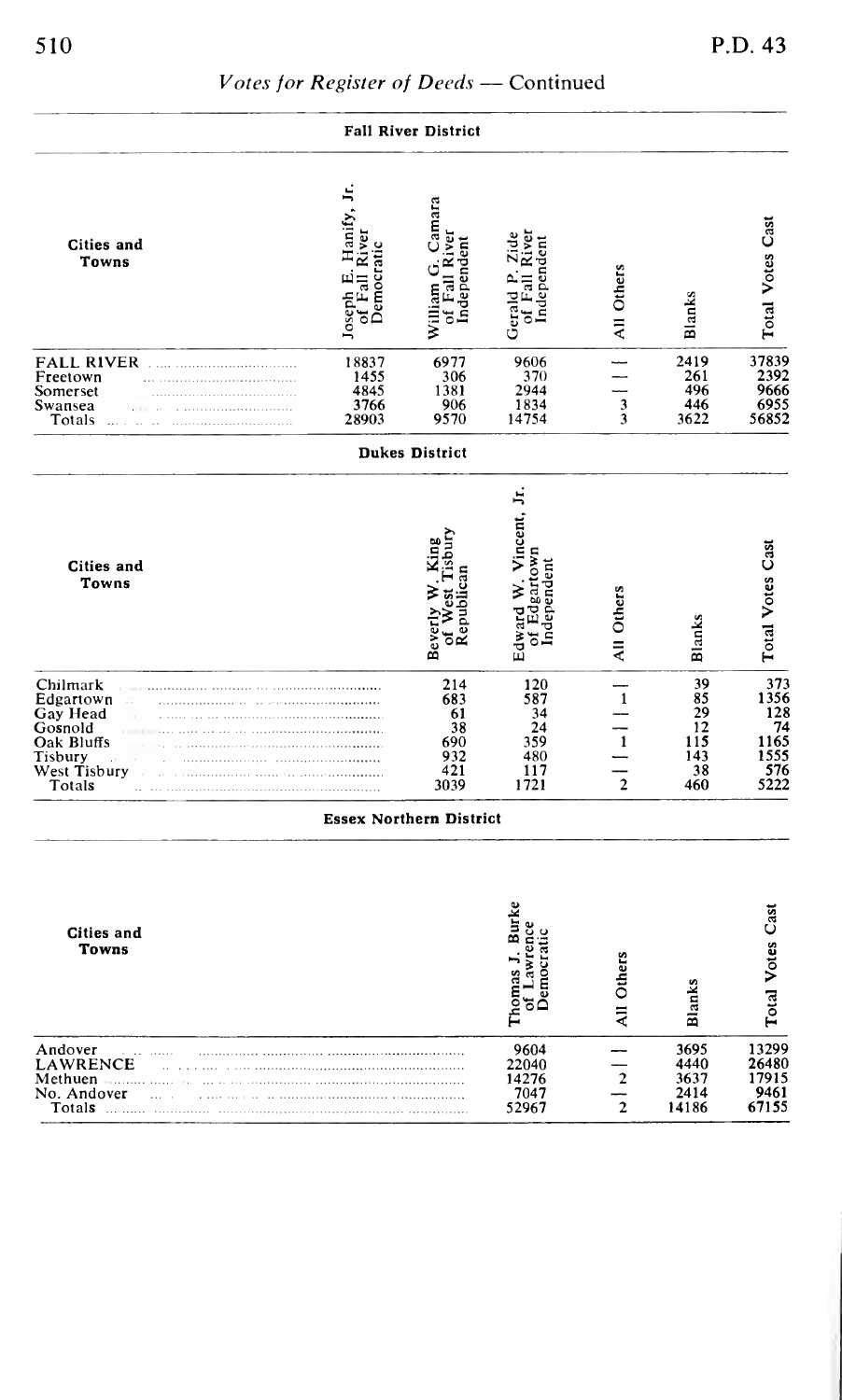|                                                                                                 |                                                                                                                 | <b>Fall River District</b>                          |                                                            |                                                  |                                                                                   |                                                                              |
|-------------------------------------------------------------------------------------------------|-----------------------------------------------------------------------------------------------------------------|-----------------------------------------------------|------------------------------------------------------------|--------------------------------------------------|-----------------------------------------------------------------------------------|------------------------------------------------------------------------------|
| Cities and<br>Towns                                                                             | Joseph E. Hanify, Jr.<br>of Fall River<br>Democratic                                                            | William G. Camara<br>of Fall River<br>Independent   | of Fall River<br>Gerald P. Zide<br>Independent             | All Others                                       | Blanks                                                                            | Total Votes Cast                                                             |
| <b>FALL RIVER</b><br>Freetown<br>Somerset<br>Swansea<br>Totals                                  | 18837<br>1455<br>4845<br>3766<br>28903                                                                          | 6977<br>306<br>1381<br>906<br>9570                  | 9606<br>370<br>2944<br>1834<br>14754                       | $\frac{1}{3}$                                    | 2419<br>261<br>496<br>446<br>3622                                                 | 37839<br>2392<br>9666<br>$6955$<br>56852                                     |
|                                                                                                 |                                                                                                                 | <b>Dukes District</b>                               |                                                            |                                                  |                                                                                   |                                                                              |
| Cities and<br>Towns                                                                             |                                                                                                                 | of West Tisbury<br>King<br>Republican<br>Beverly W. | Edward W. Vincent, Jr.<br>of Edgartown<br>Independent      | All Others                                       | Blanks                                                                            | Total Votes Cast                                                             |
| Chilmark<br>Edgartown<br>Gay Head<br>Gosnold<br>Oak Bluffs<br>Tisbury<br>West Tisbury<br>Totals |                                                                                                                 | 214<br>683<br>61<br>38<br>690<br>932<br>421<br>3039 | 120<br>587<br>$\frac{34}{24}$<br>359<br>480<br>117<br>1721 | $\mathbf{i}$<br>$\overline{1}$<br>$\overline{2}$ | $\frac{39}{85}$<br>$\frac{29}{12}$<br>$\frac{12}{115}$<br>143<br>$\frac{38}{460}$ | $\frac{373}{1356}$<br>128<br>$\frac{74}{1165}$<br>1555<br>$\frac{576}{5222}$ |
|                                                                                                 |                                                                                                                 | <b>Essex Northern District</b>                      |                                                            |                                                  |                                                                                   |                                                                              |
| <b>Cities and</b><br><b>Towns</b>                                                               |                                                                                                                 |                                                     | Thomas J. Burke<br>of Lawrence<br>Democratic               | All Others                                       | Blanks                                                                            | Total Votes Cast                                                             |
| Andover<br>LAWRENCE<br>Methuen<br>.<br>No. Andover<br>$\sim$<br>Totals                          | and the state of the state of the state of the state of the state of the state of the state of the state of the |                                                     | 9604<br>22040<br>14276<br>7047<br>52967                    | $\frac{1}{2}$                                    | 3695<br>4440<br>3637<br>2414<br>14186                                             | 13299<br>26480<br>17915<br>$\frac{9461}{67155}$                              |

## Votes for Register of Deeds — Continued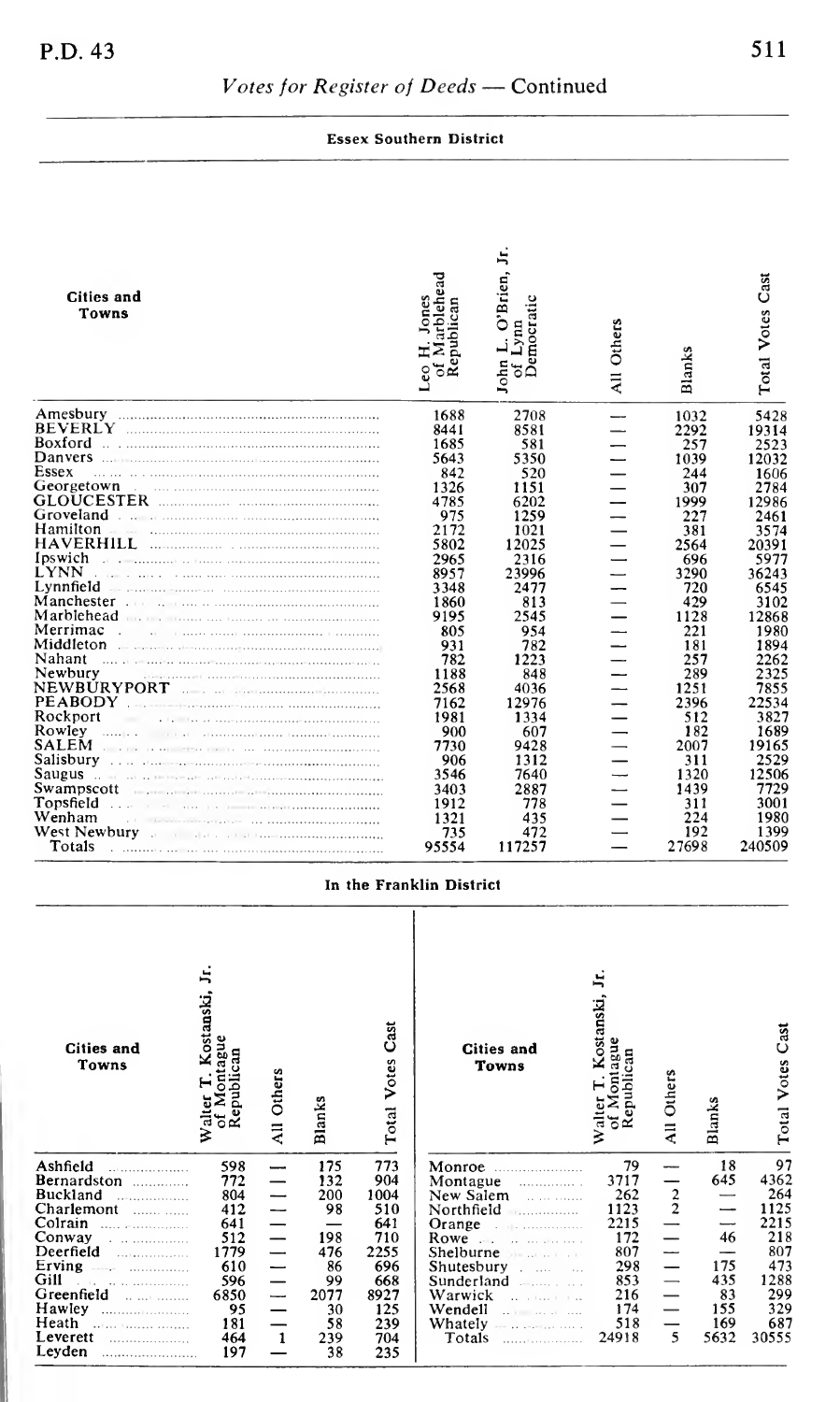#### **Essex Southern District**

| <b>Cities and</b><br>Towns                                                                                                                                                                                                                 | ead<br>H. Jones<br>Marblehe<br>epublican<br>ಕಷೆ<br>Leo | 5<br>L. O'Brien,<br>Lynn<br>of Lynn<br>Democratic<br>John | Others<br>₹              | Blanks | Cast<br>Total Votes |
|--------------------------------------------------------------------------------------------------------------------------------------------------------------------------------------------------------------------------------------------|--------------------------------------------------------|-----------------------------------------------------------|--------------------------|--------|---------------------|
|                                                                                                                                                                                                                                            | 1688                                                   | 2708                                                      | $\overline{\phantom{0}}$ | 1032   | 5428                |
|                                                                                                                                                                                                                                            | 8441                                                   | 8581                                                      |                          | 2292   | 19314               |
|                                                                                                                                                                                                                                            | 1685                                                   | 581                                                       |                          | 257    | 2523                |
|                                                                                                                                                                                                                                            | 5643                                                   | 5350                                                      |                          | 1039   | 12032               |
| Essex                                                                                                                                                                                                                                      | 842                                                    | 520                                                       |                          | 244    | 1606                |
|                                                                                                                                                                                                                                            | 1326                                                   | 1151                                                      |                          | 307    | 2784                |
|                                                                                                                                                                                                                                            | 4785                                                   | 6202                                                      |                          | 1999   | 12986               |
|                                                                                                                                                                                                                                            | 975                                                    | 1259                                                      |                          | 227    | 2461                |
| Hamilton<br>the state of the company of the company of the company of the company of the company of the company of the company of the company of the company of the company of the company of the company of the company of the company of | 2172                                                   | 1021                                                      |                          | 381    | 3574                |
|                                                                                                                                                                                                                                            | 5802                                                   | 12025                                                     |                          | 2564   | 20391               |
| Ipswich                                                                                                                                                                                                                                    | 2965                                                   | 2316                                                      |                          | 696    | 5977                |
| <b>LYNN</b><br>$\mathbf{I}$ , and $\mathbf{I}$ , and $\mathbf{I}$ , and $\mathbf{I}$ , and $\mathbf{I}$ , and $\mathbf{I}$ , and $\mathbf{I}$                                                                                              | 8957                                                   | 23996                                                     |                          | 3290   | 36243               |
| Lynnfield                                                                                                                                                                                                                                  | 3348                                                   | 2477                                                      |                          | 720    | 6545                |
|                                                                                                                                                                                                                                            | 1860                                                   | 813                                                       |                          | 429    | 3102                |
| Marblehead <b>Marblehead Marblehead Marblehead</b>                                                                                                                                                                                         | 9195                                                   | 2545                                                      |                          | 1128   | 12868               |
|                                                                                                                                                                                                                                            | 805                                                    | 954                                                       |                          | 221    | 1980                |
|                                                                                                                                                                                                                                            | 931                                                    | 782                                                       |                          | 181    | 1894                |
| Nahant<br>the company of the company of the company of the company of the company of the company of the company of the company of the company of the company of the company of the company of the company of the company of the company    | 782                                                    | 1223                                                      |                          | 257    | 2262                |
| Newbury                                                                                                                                                                                                                                    | 1188                                                   | 848                                                       |                          | 289    | 2325                |
|                                                                                                                                                                                                                                            | 2568                                                   | 4036                                                      |                          | 1251   | 7855                |
|                                                                                                                                                                                                                                            | 7162                                                   | 12976                                                     |                          | 2396   | 22534               |
| Rockport                                                                                                                                                                                                                                   | 1981                                                   | 1334                                                      |                          | 512    | 3827                |
|                                                                                                                                                                                                                                            | 900                                                    | 607                                                       |                          | 182    | 1689                |
|                                                                                                                                                                                                                                            | 7730                                                   | 9428                                                      |                          | 2007   | 19165               |
|                                                                                                                                                                                                                                            | 906                                                    | 1312                                                      |                          | 311    | 2529                |
| Saugus de la component de la componentation de la componentation de la componentation de la componentation de                                                                                                                              | 3546                                                   | 7640                                                      |                          | 1320   | 12506               |
| Swampscott <b>Example 2018</b> Swampscott                                                                                                                                                                                                  | 3403                                                   | 2887                                                      |                          | 1439   | 7729                |
| Topsfield<br>contract to the same product in the contract community of                                                                                                                                                                     | 1912                                                   | 778                                                       |                          | 311    | 3001                |
| Wenham<br>The construction of the continuum communication of the                                                                                                                                                                           | 1321                                                   | 435                                                       |                          | 224    | 1980                |
| West Newbury and a contract and communications                                                                                                                                                                                             | 735                                                    | 472                                                       |                          | 192    | 1399                |
| Totals                                                                                                                                                                                                                                     | 95554                                                  | 117257                                                    |                          | 27698  | 240509              |
|                                                                                                                                                                                                                                            |                                                        |                                                           |                          |        |                     |

In the Franklin District

| <b>Cities and</b><br>Towns                  | Walter T. Kostanski, Jr<br>of Montague<br>Republican | All Others | Blanks     | Total Votes Cast |
|---------------------------------------------|------------------------------------------------------|------------|------------|------------------|
| Ashfield<br>Bernardston<br>.                | 598<br>772                                           |            | 175<br>132 | 773<br>904       |
| Buckland                                    | 804                                                  |            | 200        | 1004             |
| Charlemont                                  | 412                                                  |            | 98         | 510              |
| Colrain                                     | 641                                                  |            |            | 641              |
| Conway<br>and the company                   | 512                                                  |            | 198        | 710              |
| Deerfield<br>and the company of the company | 1779                                                 |            | 476        | 2255             |
| Erving                                      | 610                                                  |            | 86         | 696              |
| $\overline{\text{Gill}}$<br>.               | 596                                                  |            | 99         | 668              |
| Greenfield                                  | 6850                                                 |            | 2077       | 8927             |
| Hawley<br>Heath                             | 95                                                   |            | 30         | 125              |
|                                             | 181                                                  |            | 58         | 239              |
| Leverett<br>Leyden                          | 464                                                  |            | 239        | 704              |
|                                             | 197                                                  |            | 38         | 235              |

| Walter T. Kostanski, Jr<br>of Montague<br>Republican                               | All Others    | Blanks                                            | <b>Total Votes Cast</b>                                                                      |
|------------------------------------------------------------------------------------|---------------|---------------------------------------------------|----------------------------------------------------------------------------------------------|
| 79<br>3717<br>262<br>1123<br>2215<br>172<br>807<br>298<br>853<br>216<br>174<br>518 | $\frac{1}{2}$ | 18<br>645<br>46<br>175<br>435<br>83<br>155<br>169 | 97<br>4362<br>264<br>1125<br>2215<br>218<br>807<br>473<br>1288<br>299<br>329<br>687<br>30555 |
|                                                                                    | 24918         | 5                                                 | 5632                                                                                         |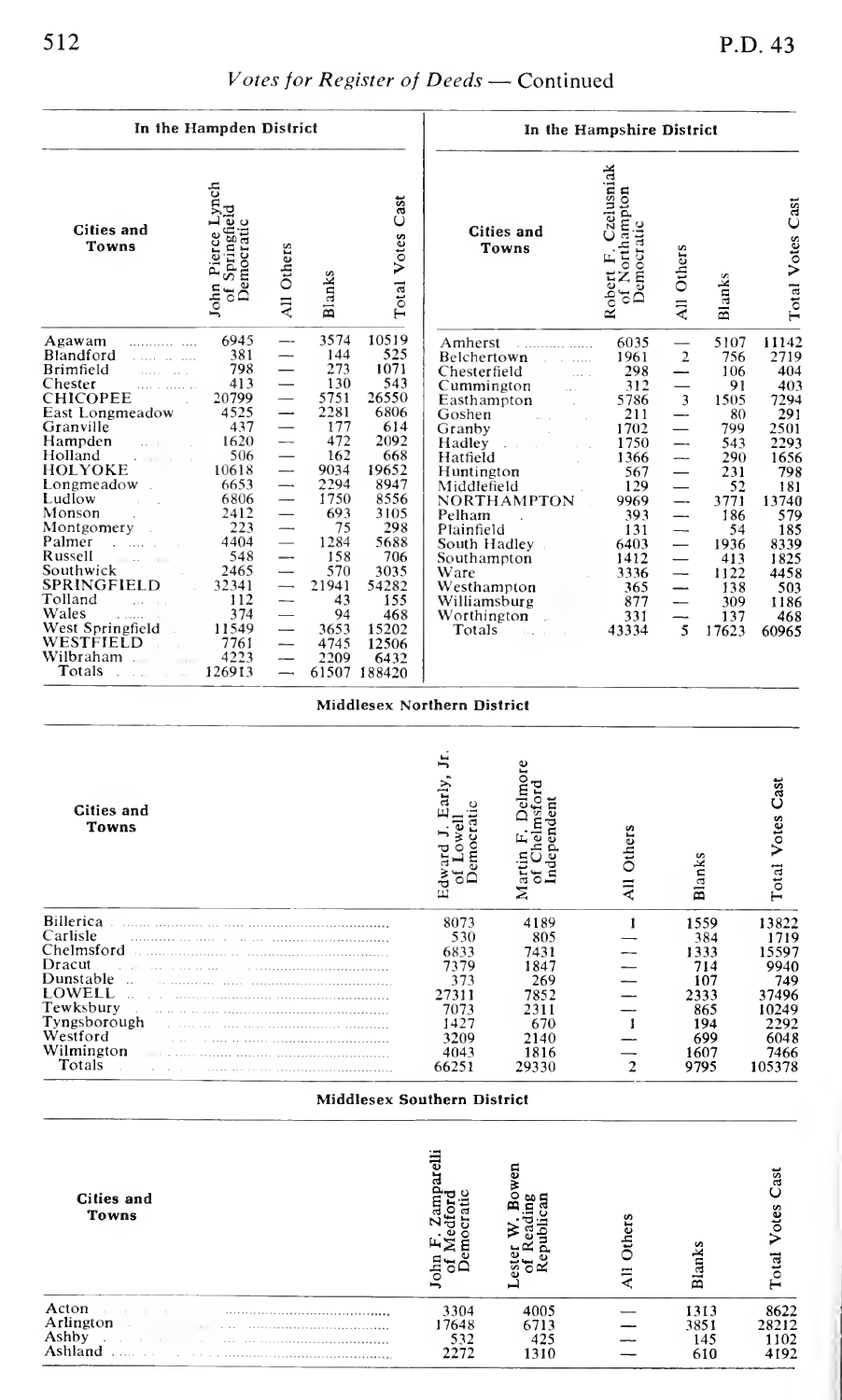# Votes for Register of Deeds — Continued

| In the Hampden District                                                                                                                                                                                                                                                                                                                                   |                                                                                                                                                                                           |                 |                                                                                                                                                                                 | In the Hampshire District                                                                                                                                                                    |                                                                                                                                                                                                                                                                                  |                                                                                                                                                             |                                                                   |                                                                                                                                                    |                                                                                                                                                                |                                                                                           |
|-----------------------------------------------------------------------------------------------------------------------------------------------------------------------------------------------------------------------------------------------------------------------------------------------------------------------------------------------------------|-------------------------------------------------------------------------------------------------------------------------------------------------------------------------------------------|-----------------|---------------------------------------------------------------------------------------------------------------------------------------------------------------------------------|----------------------------------------------------------------------------------------------------------------------------------------------------------------------------------------------|----------------------------------------------------------------------------------------------------------------------------------------------------------------------------------------------------------------------------------------------------------------------------------|-------------------------------------------------------------------------------------------------------------------------------------------------------------|-------------------------------------------------------------------|----------------------------------------------------------------------------------------------------------------------------------------------------|----------------------------------------------------------------------------------------------------------------------------------------------------------------|-------------------------------------------------------------------------------------------|
| <b>Cities</b> and<br>Towns                                                                                                                                                                                                                                                                                                                                | John Pierce Lynch<br>of Springfield<br>Democratic                                                                                                                                         | All Others      | Blanks                                                                                                                                                                          | Cast<br>Total Votes                                                                                                                                                                          | Cities and<br>Towns                                                                                                                                                                                                                                                              | Robert F. Czelusniak<br>of Northampton<br>Democratic                                                                                                        | All Others                                                        | Blanks                                                                                                                                             | Total Votes Cast                                                                                                                                               |                                                                                           |
| Agawam<br>.<br>Blandford<br>a base car and<br>Brimfield<br>Chester<br>CHICOPEE<br>East Longmeadow<br>Granville<br>Hampden<br>Holland<br>HOLYOKE<br>Longmeadow<br>Ludlow<br>Monson<br>Montgomery<br>Palmer<br><b>Russell</b><br>Southwick<br>SPRINGFIELD<br>Tolland<br>Wales<br>West Springfield<br>WESTFIELD<br>Wilbraham<br>Totals<br>÷<br>$\sim$ $\sim$ | 6945<br>381<br>798<br>413<br>20799<br>4525<br>437<br>1620<br>506<br>10618<br>6653<br>6806<br>2412<br>223<br>4404<br>548<br>2465<br>32341<br>112<br>374<br>11549<br>7761<br>4223<br>126913 | =============== | 3574<br>144<br>273<br>130<br>5751<br>2281<br>177<br>472<br>162<br>9034<br>2294<br>1750<br>693<br>75<br>1284<br>158<br>570<br>21941<br>43<br>94<br>3653<br>4745<br>2209<br>61507 | 10519<br>525<br>1071<br>543<br>26550<br>6806<br>614<br>2092<br>668<br>19652<br>8947<br>8556<br>3105<br>298<br>5688<br>706<br>3035<br>54282<br>155<br>468<br>15202<br>12506<br>6432<br>188420 | Amherst<br>Belchertown<br>Chesterfield<br>Cummington<br>Easthampton<br>Goshen<br>Granby<br>Hadley<br>Hatfield<br>Huntington<br>Middlefield<br>NORTHAMPTON<br>Pelham<br>Plainfield<br>South Hadley<br>Southampton<br>Ware<br>Westhampton<br>Williamsburg<br>Worthington<br>Totals | 6035<br>1961<br>298<br>312<br>5786<br>211<br>1702<br>1750<br>1366<br>567<br>129<br>9969<br>393<br>131<br>6403<br>1412<br>3336<br>365<br>877<br>331<br>43334 | 5                                                                 | 5107<br>756<br>106<br>91<br>1505<br>80<br>799<br>543<br>290<br>231<br>52<br>3771<br>186<br>54<br>1936<br>413<br>1122<br>138<br>309<br>137<br>17623 | 11142<br>2719<br>404<br>403<br>7294<br>291<br>2501<br>2293<br>1656<br>798<br>181<br>13740<br>579<br>185<br>8339<br>1825<br>4458<br>503<br>1186<br>468<br>60965 |                                                                                           |
|                                                                                                                                                                                                                                                                                                                                                           |                                                                                                                                                                                           |                 |                                                                                                                                                                                 |                                                                                                                                                                                              | Middlesex Northern District                                                                                                                                                                                                                                                      |                                                                                                                                                             |                                                                   |                                                                                                                                                    |                                                                                                                                                                |                                                                                           |
| Cities and<br>Towns                                                                                                                                                                                                                                                                                                                                       |                                                                                                                                                                                           |                 |                                                                                                                                                                                 |                                                                                                                                                                                              | Edward J. Early, Jr.<br>Democratic<br>of Lowel                                                                                                                                                                                                                                   | Martin F. Delmore<br>of Chelmsford<br>Independent                                                                                                           | <b>Others</b><br>Ę                                                |                                                                                                                                                    | Blanks                                                                                                                                                         | Total Votes Cast                                                                          |
| Carlisle<br>Dracut<br>a se con a marca e a primirmomanimidad.<br>Dunstable<br>LOWELL<br>Tewksbury<br>Tyngsborough<br>Westford<br>Wilmington<br>Totals<br>$\sim$ $ \sim$                                                                                                                                                                                   |                                                                                                                                                                                           |                 |                                                                                                                                                                                 |                                                                                                                                                                                              | 8073<br>530<br>6833<br>7379<br>373<br>27311<br>7073<br>1427<br>3209<br>4043<br>66251                                                                                                                                                                                             | 4189<br>805<br>7431<br>1847<br>269<br>7852<br>2311<br>670<br>2140<br>1816<br>29330                                                                          | $\mathbf{I}$<br> <br> <br> <br> <br><br> <br><br><br><br><br><br> |                                                                                                                                                    | 1559<br>384<br>1333<br>714<br>107<br>2333<br>865<br>194<br>699<br>1607<br>9795                                                                                 | 13822<br>1719<br>15597<br>9940<br>749<br>37496<br>10249<br>2292<br>6048<br>7466<br>105378 |
|                                                                                                                                                                                                                                                                                                                                                           |                                                                                                                                                                                           |                 |                                                                                                                                                                                 |                                                                                                                                                                                              | Middlesex Southern District                                                                                                                                                                                                                                                      |                                                                                                                                                             |                                                                   |                                                                                                                                                    |                                                                                                                                                                |                                                                                           |
|                                                                                                                                                                                                                                                                                                                                                           |                                                                                                                                                                                           |                 |                                                                                                                                                                                 |                                                                                                                                                                                              | elli                                                                                                                                                                                                                                                                             | Ĕ                                                                                                                                                           |                                                                   |                                                                                                                                                    |                                                                                                                                                                |                                                                                           |

| Cities and<br><b>Towns</b> |       |      | অ<br>≃ |       |
|----------------------------|-------|------|--------|-------|
| Acton                      | 3304  | 4005 | 1313   | 8622  |
| Arlington                  | 17648 |      | 3851   | 28212 |
| Ashby                      | 532   |      | .45    | 1102  |
| Ashland                    | 2272  | 1310 | 610    | 4192  |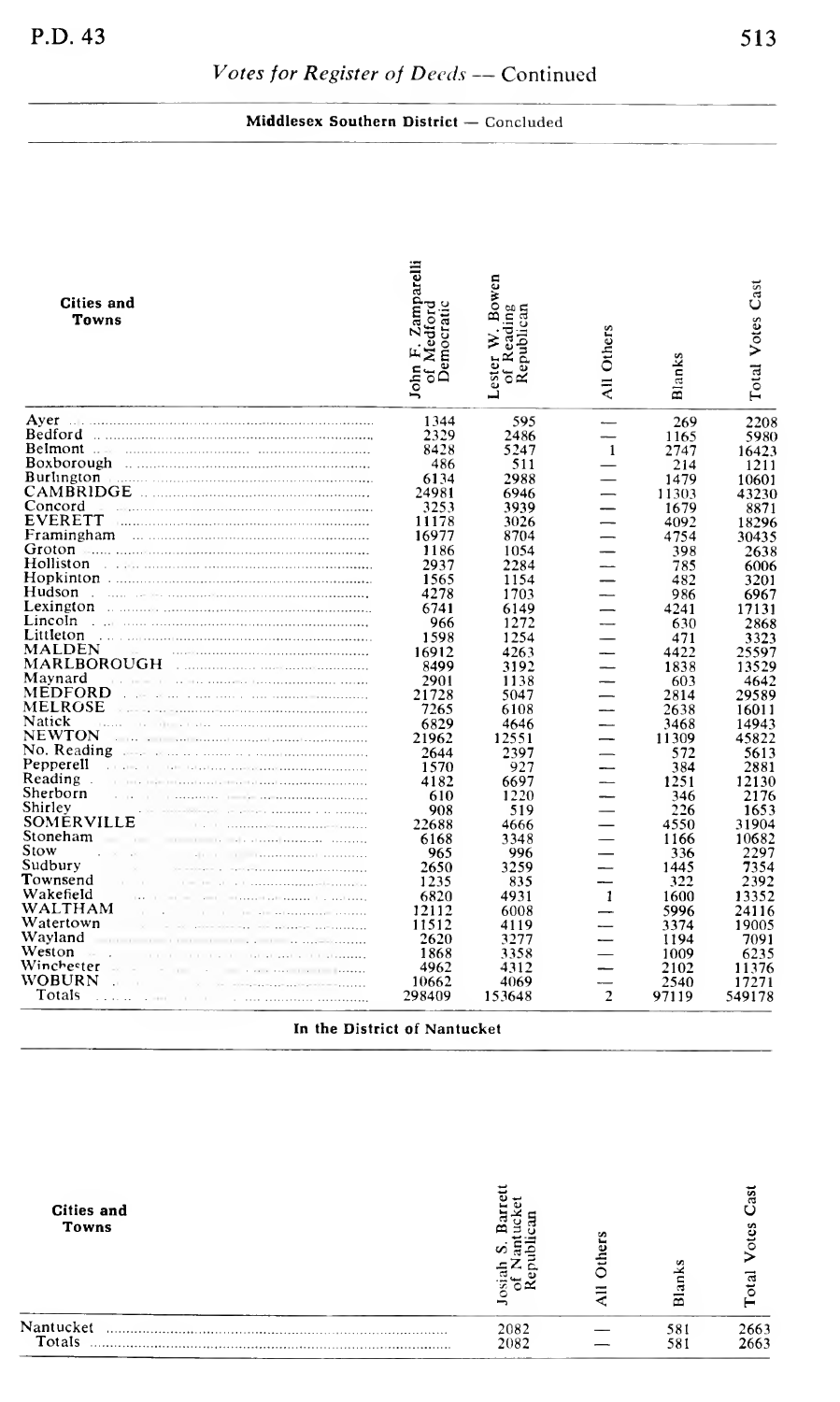Ì.

| <b>Cities and</b><br>Towns                                                                                                                                                                                                                  | ohn F. Zamparelli<br>of Medford<br>Democratic<br>John | ester W. Bowen<br>of Reading<br>Republican<br>ester<br>┙ | Others<br>₹    | Blanks       | Cast<br>Votes<br>Total |
|---------------------------------------------------------------------------------------------------------------------------------------------------------------------------------------------------------------------------------------------|-------------------------------------------------------|----------------------------------------------------------|----------------|--------------|------------------------|
|                                                                                                                                                                                                                                             | 1344                                                  | 595                                                      |                | 269          | 2208                   |
|                                                                                                                                                                                                                                             | 2329                                                  | 2486                                                     |                | 1165         | 5980                   |
|                                                                                                                                                                                                                                             | 8428                                                  | 5247                                                     | $\mathbf{1}$   | 2747         | 16423                  |
| Boxborough manufactured by Boxborough                                                                                                                                                                                                       | 486                                                   | 511                                                      |                | 214          | 1211                   |
| <b>Burlington</b>                                                                                                                                                                                                                           | 6134                                                  | 2988                                                     |                | 1479         | 10601                  |
|                                                                                                                                                                                                                                             | 24981                                                 | 6946                                                     |                | 11303        | 43236                  |
| Concord                                                                                                                                                                                                                                     | 3253                                                  | 3939                                                     |                | 1679         | 8871                   |
| EVERETT                                                                                                                                                                                                                                     | 11178                                                 | 3026                                                     |                | 4092         | 18296                  |
|                                                                                                                                                                                                                                             | 16977                                                 | 8704                                                     |                | 4754         | 30435                  |
|                                                                                                                                                                                                                                             | 1186                                                  | 1054                                                     |                | 398          | 2638                   |
|                                                                                                                                                                                                                                             | 2937                                                  | 2284                                                     |                | 785          | 6006                   |
|                                                                                                                                                                                                                                             | 1565                                                  | 1154                                                     |                | 482          | 3201                   |
|                                                                                                                                                                                                                                             | 4278                                                  | 1703                                                     |                | 986          | 6967                   |
|                                                                                                                                                                                                                                             | 6741                                                  | 6149                                                     |                | 4241         | 17131                  |
| Lincoln                                                                                                                                                                                                                                     | 966                                                   | 1272                                                     |                | 630          | 2868                   |
| Littleton                                                                                                                                                                                                                                   | 1598                                                  | 1254                                                     |                | 471          | 3323                   |
| MALDEN                                                                                                                                                                                                                                      | 16912                                                 | 4263                                                     |                | 4422         | 25597                  |
| Mavnard                                                                                                                                                                                                                                     | 8499                                                  | 3192                                                     |                | 1838         | 13529                  |
| The committee of the committee to accommission of the com-<br>MEDFORD<br>a se sem a la comunitat del comunitatività                                                                                                                         | 2901                                                  | 1138                                                     |                | 603          | 4642                   |
| MELROSE<br>a complete and continuous continuous continuous complete and complete the complete of the complete state of the                                                                                                                  | 21728<br>7265                                         | 5047<br>6108                                             |                | 2814<br>2638 | 29589<br>16011         |
| Natick<br>tion of the district of the commission of the commission of the commission of the commission of the commission of the commission of the commission of the commission of the commission of the commission of the commission of     |                                                       | 4646                                                     |                | 3468         | 14943                  |
| <b>NEWTON</b>                                                                                                                                                                                                                               | 6829<br>21962                                         | 12551                                                    |                | 11309        | 45822                  |
|                                                                                                                                                                                                                                             | 2644                                                  | 2397                                                     |                | 572          | 5613                   |
| Pepperell<br>a called the official and a complete complete and the                                                                                                                                                                          | 1570                                                  | 927                                                      |                | 384          | 2881                   |
| Reading .<br>The two distributions is the fit and composed as a series                                                                                                                                                                      | 4182                                                  | 6697                                                     |                | 1251         | 12130                  |
| Sherborn<br>The contract of the contract of the contract of the contract of the contract of                                                                                                                                                 | 610                                                   | 1220                                                     |                | 346          | 2176                   |
| Shirlev<br>a processible way to answer assumed a manager.                                                                                                                                                                                   | 908                                                   | 519                                                      |                | 226          | 1653                   |
| SOMERVILLE                                                                                                                                                                                                                                  | 22688                                                 | 4666                                                     |                | 4550         | 31904                  |
| Stoneham<br><b>Service</b><br>the company of the company of the company of the company of the company of the company of                                                                                                                     | 6168                                                  | 3348                                                     |                | 1166         | 10682                  |
| Stow<br>$\sim$<br>and the contract of the community of the community<br>$\infty$                                                                                                                                                            | 965                                                   | 996                                                      |                | 336          | 2297                   |
| Sudburv<br>the contract of the company and contract the contract of the contract of the contract of the contract of the contract of the contract of the contract of the contract of the contract of the contract of the contract of the c   | 2650                                                  | 3259                                                     |                | 1445         | 7354                   |
| Townsend<br>$\mathbf{r}$<br>The contract of commission of considerations                                                                                                                                                                    | 1235                                                  | 835                                                      |                | 322          | 2392                   |
| Wakefield<br>The commission of the commission of the commission of the commission of the commission of the commission of the commission of the commission of the commission of the commission of the commission of the commission of the co | 6820                                                  | 4931                                                     | $\mathbf{1}$   | 1600         | 13352                  |
| WALTHAM<br>and the company of the company of the company of the company of the company of                                                                                                                                                   | 12112                                                 | 6008                                                     |                | 5996         | 24116                  |
| Watertown                                                                                                                                                                                                                                   | 11512                                                 | 4119                                                     |                | 3374         | 19005                  |
| Wavland<br>the contract of the contract of the contract of the contract of the contract of the contract of the contract of                                                                                                                  | 2620                                                  | 3277                                                     |                | 1194         | 7091                   |
| Weston<br>the company of the company of the company of the company of the company of the company of the company of the company of the company of the company of the company of the company of the company of the company of the company     | 1868                                                  | 3358                                                     |                | 1009         | 6235                   |
| Ninchester<br>$\omega_{\rm C}$ , $\omega_{\rm C}$<br>the company's company's company's product to the company's                                                                                                                             | 4962                                                  | 4312                                                     |                | 2102         | 11376                  |
| WOBURN<br><b>Service</b><br><b>Committee Committee Committee Committee Committee Committee Committee Committee Committee Committee</b>                                                                                                      | 10662                                                 | 4069                                                     |                | 2540         | 17271                  |
| Totals<br>case of commences.                                                                                                                                                                                                                | 298409                                                | 153648                                                   | $\overline{2}$ | 97119        | 549178                 |

#### Middlesex Southern District — Concluded

In the District of Nantucket

| Cities and<br>Towns      |              |            | æ            |
|--------------------------|--------------|------------|--------------|
| Nantucket<br>.<br>Totals | 2082<br>2082 | 581<br>581 | 2663<br>2663 |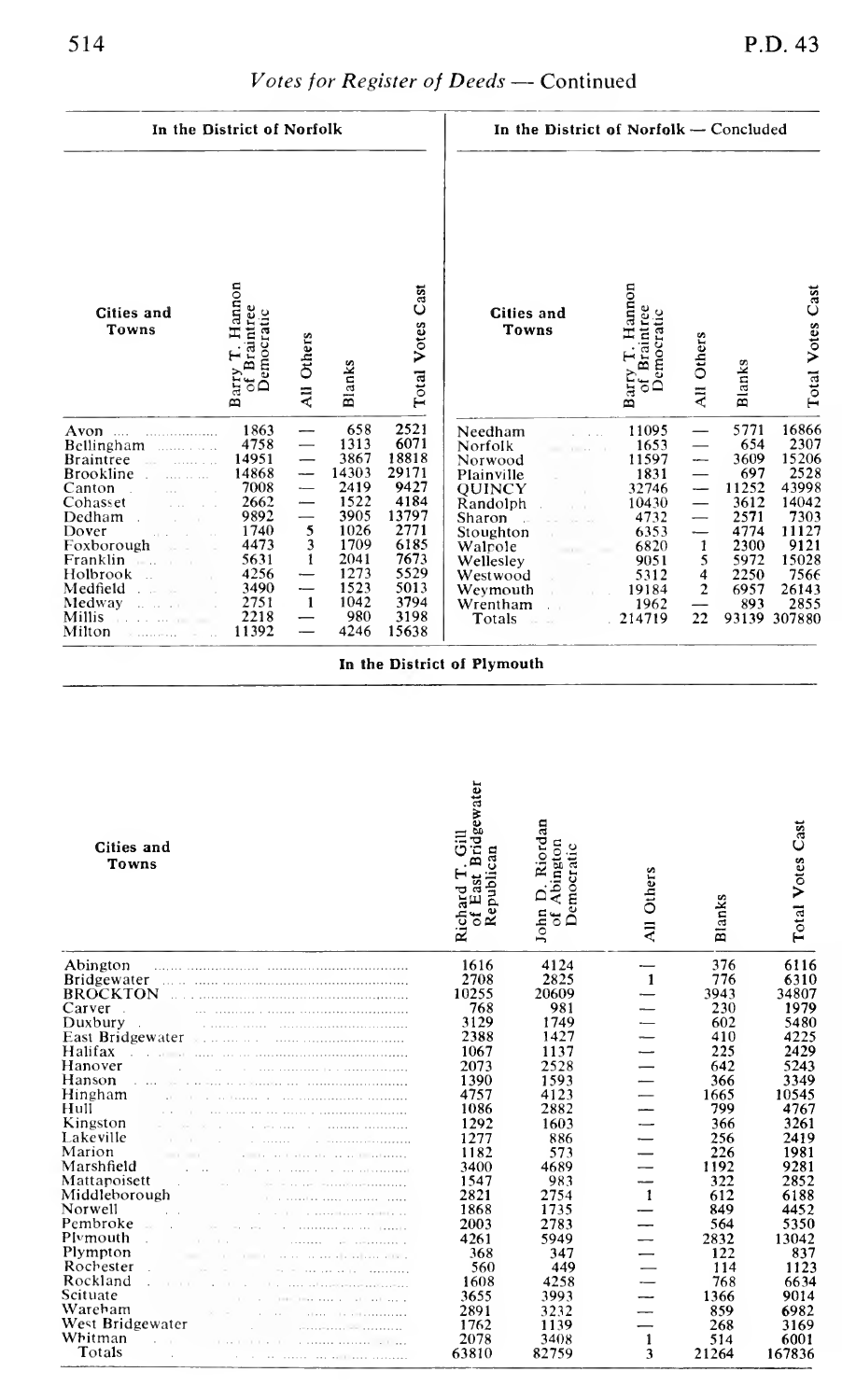In the District of Norfolk

In the District of Norfolk - Concluded

#### Bary T. Hannon<br>of Braintree Cast Barry T. Hannon **Total Votes Cast** of Braintree<br>Democratic Cities and of Braintree<br>Democratic Cities and Votes ( **Towns Towns** All Others All Others Blanks Blanks Total<sup>-</sup> Avon Needham Bellingham Norfolk Norwood **Braintree**  $\overline{a}$ Brookline  $\sim$ Plainville QUINCY  $\sim$ Canton Cohasset Randolph 9892<br>1740 13797<br>2771 Dedham Sharon Dover  $\frac{5}{3}$ 1026<br>1709 Stoughton  $\overline{1}$ Foxborough Walpole Franklin Wellesley Holbrook Westwood  $\frac{4}{2}$ Medfield Weymouth Medway  $\mathbf{1}$ Wrentham  $\overline{22}$ Millis Totals Milton In the District of Plymouth Richard T. Gill<br>of East Bridgewater<br>Republican D. Riordan Total Votes Cast Cities and Abington of Abington<br>Democratic Towns All Others Blanks John 1 4124<br>2825 Abington Bridgewater  $\mathbf 1$ **BROCKTON** Carver 1749<br>1427 Duxbury East Bridgewater  $\frac{410}{225}$ Halifax Hanover Hanson Hingham Hull  $\frac{366}{256}$ Kingston Lakeville Marion  $\frac{1192}{322}$ <br> $\frac{612}{312}$ Marshfield Mattapoisett Middleborough Norwell Pembroke Plymouth Plympton Rochester Rockland Scituate Wareham West Bridgewater  $\frac{268}{514}$ Whitman Totals  $\overline{\mathbf{3}}$

#### Votes for Register of Deeds — Continued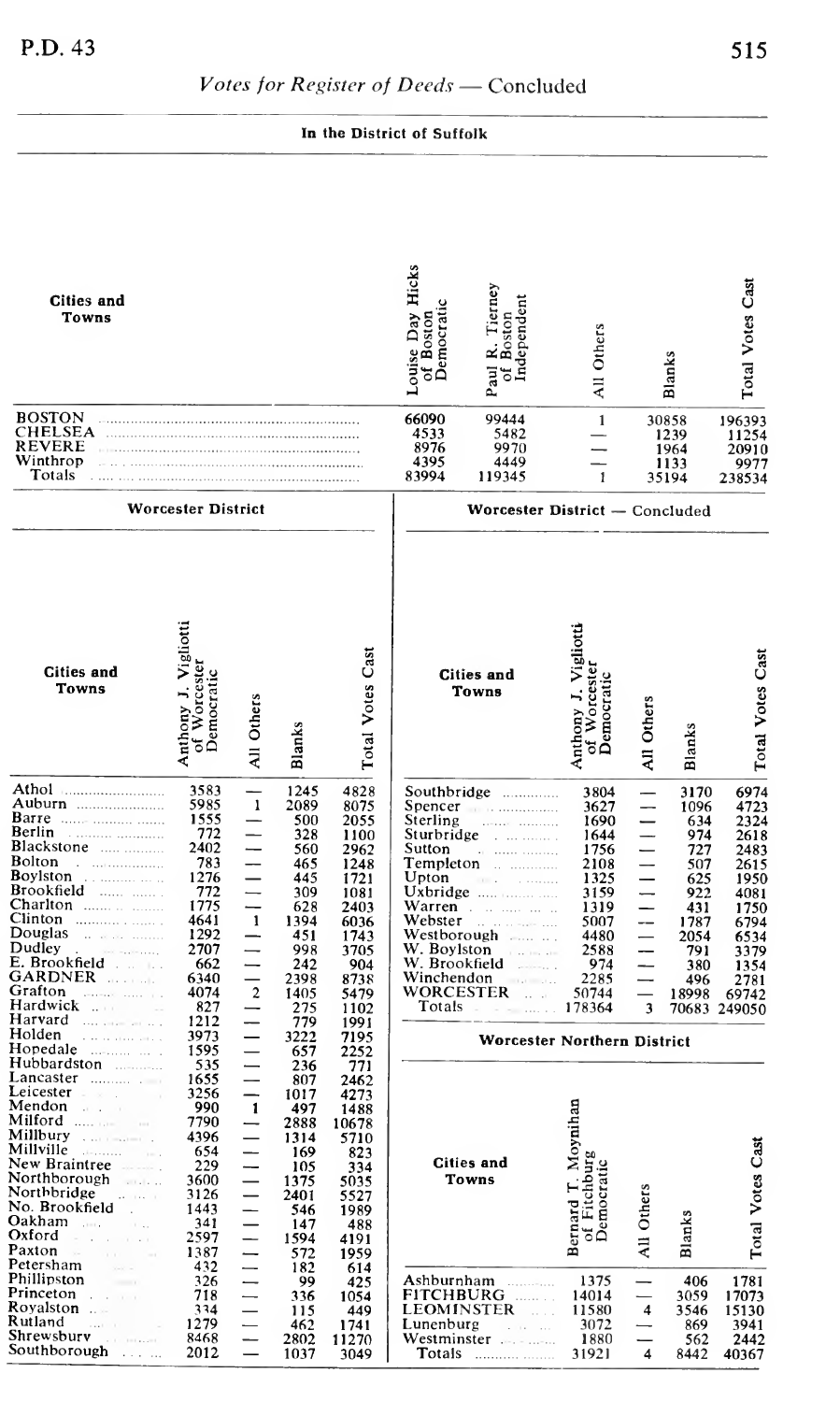|                                                                                                                                                                                                                                                                                                                                                            |                                                                                                                                               |            |                                                                                                                                 |                                                                                                                                     | In the District of Suffolk                                           |                                                                                                                                                                                                                                              |                                                                                                                                |               |                                                                                                             |                                                                                                                                                |
|------------------------------------------------------------------------------------------------------------------------------------------------------------------------------------------------------------------------------------------------------------------------------------------------------------------------------------------------------------|-----------------------------------------------------------------------------------------------------------------------------------------------|------------|---------------------------------------------------------------------------------------------------------------------------------|-------------------------------------------------------------------------------------------------------------------------------------|----------------------------------------------------------------------|----------------------------------------------------------------------------------------------------------------------------------------------------------------------------------------------------------------------------------------------|--------------------------------------------------------------------------------------------------------------------------------|---------------|-------------------------------------------------------------------------------------------------------------|------------------------------------------------------------------------------------------------------------------------------------------------|
| Cities and<br>Towns                                                                                                                                                                                                                                                                                                                                        |                                                                                                                                               |            |                                                                                                                                 |                                                                                                                                     | Louise Day Hicks<br>of Boston<br>Democratic                          | Paul R. Tierney<br>of Boston<br>Independent                                                                                                                                                                                                  | All Others                                                                                                                     |               | <b>Blanks</b>                                                                                               | Total Votes Cast                                                                                                                               |
| <b>BOSTON</b><br>CHELSEA<br>REVERE<br>Winthrop<br>Totals                                                                                                                                                                                                                                                                                                   |                                                                                                                                               |            |                                                                                                                                 |                                                                                                                                     | 66090<br>4533<br>8976<br>4395<br>83994                               | 99444<br>5482<br>9970<br>4449<br>119345                                                                                                                                                                                                      | $\mathbf{i}$<br>1                                                                                                              |               | 30858<br>1239<br>1964<br>1133<br>35194                                                                      | 196393<br>11254<br>20910<br>9977<br>238534                                                                                                     |
|                                                                                                                                                                                                                                                                                                                                                            | <b>Worcester District</b>                                                                                                                     |            |                                                                                                                                 |                                                                                                                                     |                                                                      | Worcester District - Concluded                                                                                                                                                                                                               |                                                                                                                                |               |                                                                                                             |                                                                                                                                                |
| <b>Cities and</b><br>Towns                                                                                                                                                                                                                                                                                                                                 | Anthony J. Vigliotti<br>of Worcester<br>Democratic                                                                                            | All Others | Blanks                                                                                                                          | Total Votes Cast                                                                                                                    |                                                                      | <b>Cities and</b><br>Towns                                                                                                                                                                                                                   | Anthony J. Vigliotti<br>of Worcester<br>Democratic                                                                             | All Others    | <b>Blanks</b>                                                                                               |                                                                                                                                                |
| Athol<br>Auburn<br>Barre<br>Berlin<br>Blackstone<br>Bolton<br>Boylston<br>Brookfield<br>Charlton<br>Clinton<br>Douglas<br>Dudley<br>E. Brookfield<br>ARDNER<br>E. Brooking<br>GARDNER<br>Grafton<br>Hardwick<br>Harvard                                                                                                                                    | 3583<br>5985<br>$\frac{1555}{772}$<br>2402<br>783<br>$\frac{1276}{772}$<br>1775<br>4641<br>1292<br>2707<br>662<br>6340<br>4074<br>827<br>1212 |            | 1245<br>2089<br>500<br>328<br>560<br>465<br>445<br>309<br>$\frac{628}{1394}$<br>451<br>998<br>242<br>2398<br>1405<br>275<br>779 | 4828<br>8075<br>2055<br>1100<br>2962<br>1248<br>1721<br>1081<br>2403<br>6036<br>1743<br>3705<br>904<br>8738<br>5479<br>1102<br>1991 | Totals                                                               | Southbridge<br>Spencer <b>Manufacturer</b><br>Sterling<br>Sturbridge<br>Sutton<br>Templeton<br>Upton<br>Uxbridge<br>Warren<br>Webster<br>Westborough<br>W. Boylston<br>W. Brookfield<br>Winchendon<br>WORCESTER<br>$\sim$<br>$\cdots \cdots$ | 3804<br>3627<br>1690<br>1644<br>1756<br>2108<br>1325<br>3159<br>1319<br>5007<br>4480<br>2588<br>974<br>2285<br>50744<br>178364 | <br>          | 3170<br>1096<br>634<br>974<br>727<br>507<br>625<br>922<br>431<br>1787<br>2054<br>791<br>380<br>496<br>18998 | 560<br>SUO SUO A 4723<br>2483<br>2483<br>2483<br>2483<br>2483<br>2483<br>2483<br>2483<br>3379<br>3379<br>3379<br>2781<br>69742<br>70683 249050 |
| Holden<br>Hopedale<br>Hubbardston<br>Lancaster                                                                                                                                                                                                                                                                                                             | 3973<br>1595<br>535                                                                                                                           |            | 3222<br>657                                                                                                                     | 7195                                                                                                                                |                                                                      | Worcester Northern District                                                                                                                                                                                                                  |                                                                                                                                |               |                                                                                                             |                                                                                                                                                |
| Leicester<br>Mendon<br>Milford<br>Millbury<br>Millville<br>Millville<br>$\label{eq:1} \begin{array}{lll} \mathbf{e}_{1}^{(1)}\mathbf{e}_{2}\mathbf{e}_{3}\mathbf{e}_{4}\mathbf{e}_{5}\cdots & \mathbf{e}_{n-1} \end{array}$<br>New Braintree<br>Northborough<br>Northbridge<br>No. Brookfield<br>$\sim$<br>Oakham<br>Oxford<br>Paxton<br>in 1<br>Petersham | 1655<br>3256<br>990<br>7790<br>4396<br>$654$<br>229<br>3600<br>3126<br>1443<br>$\frac{341}{2597}$<br>1387<br>432                              |            | 236<br>807<br>1017<br>497<br>2888<br>1314<br>169<br>105<br>1375<br>2401<br>546<br>147<br>1594<br>572<br>182                     | $\frac{2252}{771}$<br>2462<br>4273<br>1488<br>10678<br>5710<br>823<br>334<br>5035<br>5527<br>1989<br>488<br>4191<br>1959<br>614     |                                                                      | <b>Cities and</b><br>Towns                                                                                                                                                                                                                   | Bernard T. Moynihan<br>of Fitchburg<br>Democratic                                                                              | All Others    | Blanks                                                                                                      | Total Votes Cast                                                                                                                               |
| Phillipston<br>Princeton<br>Royalston<br>Rutland<br>A.<br>Shrewsbury<br>Southborough                                                                                                                                                                                                                                                                       | 326<br>718<br>$\frac{334}{1279}$<br>8468<br>2012                                                                                              |            | 99<br>$\frac{336}{115}$<br>2802<br>1037                                                                                         | 425<br>1054<br>449<br>1741<br>11270<br>3049                                                                                         | Ashburnham<br><b>FITCHBURG</b><br>Lunenburg<br>Westminster<br>Totals | $\cdots\cdots\cdots\cdots$<br>LEOMINSTER<br>$\sim$<br>$\sim$                                                                                                                                                                                 | 1375<br>14014<br>11580<br>1880<br>31921                                                                                        | $\frac{4}{4}$ | 406<br>3059<br>3546<br>869<br>562<br>8442                                                                   | 1781<br>17073<br>15130<br>3941<br>2442<br>40367                                                                                                |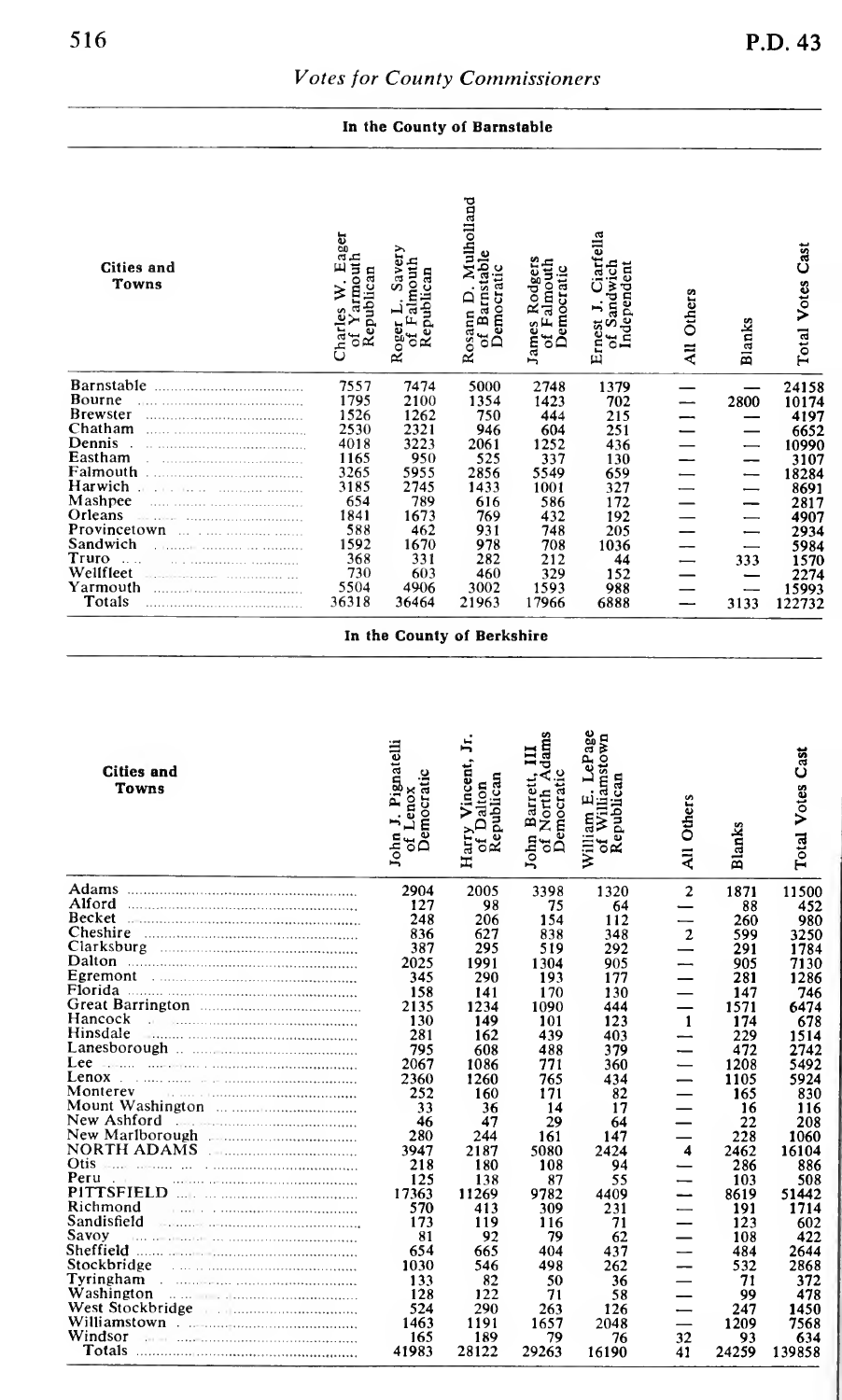In the County of Barnstable

| <b>Cities and</b><br>Towns                    | 5<br>Eag<br>armout<br>of Yarmout<br>Republican<br>⋧<br>Charles | Saver <sub>3</sub><br>Falmouth<br>epublican<br>Roger<br>৳<br>ă | Mulholland<br>Barnstable<br>Democratic<br>≏<br>Rosann<br>ัธ | almouth<br>Rodger<br>Democratic<br>ü,<br>James<br>ន | ella<br>Ciartí<br>of Sandwich<br>Independent<br>Ernest | Others<br>ξ | Blanks | Ğ<br>Votes<br>Total |
|-----------------------------------------------|----------------------------------------------------------------|----------------------------------------------------------------|-------------------------------------------------------------|-----------------------------------------------------|--------------------------------------------------------|-------------|--------|---------------------|
| <b>Barnstable</b>                             | 7557                                                           | 7474                                                           | 5000                                                        | 2748                                                | 1379                                                   |             |        | 24158               |
| <b>Bourne</b>                                 | 1795                                                           | 2100                                                           | 1354                                                        | 1423                                                | 702                                                    |             | 2800   | 10174               |
| <b>Brewster</b>                               | 1526                                                           | 1262                                                           | 750                                                         | 444                                                 | 215                                                    |             |        | 4197                |
| Chatham                                       | 2530                                                           | 2321                                                           | 946                                                         | 604                                                 | 251                                                    |             |        | 6652                |
| Dennis                                        | 4018                                                           | 3223                                                           | 2061                                                        | 1252                                                | 436                                                    |             |        | 10990               |
| Eastham                                       | 1165                                                           | 950                                                            | 525                                                         | 337                                                 | 130                                                    |             | --     | 3107                |
| Falmouth                                      | 3265                                                           | 5955                                                           | 2856                                                        | 5549                                                | 659                                                    |             |        | 18284               |
| Harwich<br>a martia da concerta con a constru | 3185                                                           | 2745                                                           | 1433                                                        | 1001                                                | 327                                                    |             |        | 8691                |
| Mashpee                                       | 654                                                            | 789                                                            | 616                                                         | 586                                                 | 172                                                    |             | --     | 2817                |
| Orleans                                       | 1841                                                           | 1673                                                           | 769                                                         | 432                                                 | 192                                                    |             |        | 4907                |
| Provincetown                                  | 588                                                            | 462                                                            | 931                                                         | 748                                                 | 205                                                    |             |        | 2934                |
| Sandwich                                      | 1592                                                           | 1670                                                           | 978                                                         | 708                                                 | 1036                                                   |             |        | 5984                |
| Truro<br>$\sim$                               | 368                                                            | 331                                                            | 282                                                         | 212                                                 | 44                                                     |             | 333    | 1570                |
| Wellfleet                                     | 730                                                            | 603                                                            | 460                                                         | 329                                                 | 152                                                    |             |        | 2274                |
| Yarmouth                                      | 5504                                                           | 4906                                                           | 3002                                                        | 1593                                                | 988                                                    |             |        | 15993               |
| Totals                                        | 36318                                                          | 36464                                                          | 21963                                                       | 17966                                               | 6888                                                   |             | 3133   | 122732              |

In the County of Berkshire

| <b>Cities and</b><br>Towns                                                                                                                                                                                                                       | John J. Pignatelli<br>Democratic<br>Lenox<br>đ | š<br>Vincent,<br>of Daton<br>Republican<br>Dalton<br>Harry | dams<br>E<br>of North Ac<br>Democratic<br>Barrett,<br>John | LePage<br>Williamstown<br>epublican<br>William E.<br>៹ឨ | <b>Others</b><br>Ę       | Blanks    | Cast<br>Votes<br>Total |
|--------------------------------------------------------------------------------------------------------------------------------------------------------------------------------------------------------------------------------------------------|------------------------------------------------|------------------------------------------------------------|------------------------------------------------------------|---------------------------------------------------------|--------------------------|-----------|------------------------|
| Adams                                                                                                                                                                                                                                            | 2904                                           | 2005                                                       | 3398                                                       | 1320                                                    | $\overline{2}$           | 1871      | 11500                  |
| Alford                                                                                                                                                                                                                                           | 127                                            | 98                                                         | 75                                                         | 64                                                      |                          | 88        | 452                    |
| Becket                                                                                                                                                                                                                                           | 248                                            | 206                                                        | 154                                                        | 112                                                     |                          | 260       | 980                    |
| Cheshire                                                                                                                                                                                                                                         | 836                                            | 627                                                        | 838                                                        | 348                                                     | $\overline{2}$           | 599       | 3250                   |
| Clarksburg                                                                                                                                                                                                                                       | 387                                            | 295                                                        | 519                                                        | 292                                                     |                          | 291       | 1784                   |
|                                                                                                                                                                                                                                                  | 2025                                           | 1991                                                       | 1304                                                       | 905                                                     |                          | 905       | 7130                   |
|                                                                                                                                                                                                                                                  | 345                                            | 290                                                        | 193                                                        | 177                                                     |                          | 281       | 1286                   |
| Florida                                                                                                                                                                                                                                          | 158                                            | 141                                                        | 170                                                        | 130                                                     | $\overline{\phantom{0}}$ | 147       | 746                    |
|                                                                                                                                                                                                                                                  | 2135                                           | 1234                                                       | 1090                                                       | 444                                                     |                          | 1571      | 6474                   |
| Hancock                                                                                                                                                                                                                                          | 130                                            | 149                                                        | 101                                                        | 123                                                     | $\mathbf{1}$             | 174       | 678                    |
| Hinsdale                                                                                                                                                                                                                                         | 281                                            | 162                                                        | 439                                                        | 403                                                     |                          | 229       | 1514                   |
|                                                                                                                                                                                                                                                  | 795                                            | 608                                                        | 488                                                        | 379                                                     | -                        | 472       | 2742                   |
| Lee                                                                                                                                                                                                                                              | 2067                                           | 1086                                                       | 771                                                        | 360                                                     |                          | 1208      | 5492                   |
| Lenox                                                                                                                                                                                                                                            | 2360                                           | 1260                                                       | 765                                                        | 434                                                     |                          | 1105      | 5924                   |
| Monterev                                                                                                                                                                                                                                         | 252                                            | 160                                                        | 171                                                        | 82                                                      |                          | 165       | 830                    |
|                                                                                                                                                                                                                                                  | 33                                             | 36                                                         | 14                                                         | 17                                                      |                          | 16        | 116                    |
| New Ashford                                                                                                                                                                                                                                      | 46                                             | 47                                                         | 29                                                         | 64                                                      |                          | 22        | 208                    |
| New Marlborough [19] Mew Marlborough                                                                                                                                                                                                             | 280                                            | 244                                                        | 161                                                        | 147                                                     |                          | 228       | 1060                   |
| <b>NORTH ADAMS</b>                                                                                                                                                                                                                               | 3947                                           | 2187                                                       | 5080                                                       | 2424                                                    | $\overline{\bf{4}}$      | 2462      | 16104                  |
| Otis<br>Peru                                                                                                                                                                                                                                     | 218                                            | 180                                                        | 108                                                        | 94                                                      |                          | 286       | 886                    |
| PITTSFIELD                                                                                                                                                                                                                                       | 125                                            | 138                                                        | 87                                                         | 55                                                      |                          | 103       | 508                    |
| Richmond                                                                                                                                                                                                                                         | 17363                                          | 11269                                                      | 9782                                                       | 4409                                                    | —                        | 8619      | 51442                  |
| Sandisfield                                                                                                                                                                                                                                      | 570                                            | 413                                                        | 309                                                        | 231                                                     |                          | 191       | 1714                   |
| Savov                                                                                                                                                                                                                                            | 173                                            | 119                                                        | 116                                                        | 71                                                      |                          | 123       | 602                    |
| the complete the company of the company of the company of the company of the company of the company of the company of the company of the company of the company of the company of the company of the company of the company of<br>Sheffield      | 81<br>654                                      | 92<br>665                                                  | 79<br>404                                                  | 62                                                      |                          | 108       | 422<br>2644            |
| Stockbridge                                                                                                                                                                                                                                      |                                                |                                                            |                                                            | 437                                                     |                          | 484       |                        |
|                                                                                                                                                                                                                                                  | 1030                                           | 546<br>82                                                  | 498                                                        | 262                                                     |                          | 532       | 2868<br>372            |
| Washington                                                                                                                                                                                                                                       | 133                                            |                                                            | 50                                                         | 36                                                      |                          | 71        |                        |
| the committee of concernance commissions and<br>West Stockbridge                                                                                                                                                                                 | 128<br>524                                     | 122<br>290                                                 | 71<br>263                                                  | 58<br>126                                               |                          | 99<br>247 | 478<br>1450            |
| $\cdots$ . There exists a construction of the contract of the contract of the contract of the contract of the contract of the contract of the contract of the contract of the contract of the contract of the contract of the co<br>Williamstown | 1463                                           | 1191                                                       | 1657                                                       | 2048                                                    |                          | 1209      | 7568                   |
| Windsor                                                                                                                                                                                                                                          | 165                                            | 189                                                        | 79                                                         | 76                                                      | 32                       | 93        | 634                    |
| 40.000 construction construction and construction<br>Totals                                                                                                                                                                                      | 41983                                          | 28122                                                      | 29263                                                      | 16190                                                   | 41                       | 24259     | 139858                 |
|                                                                                                                                                                                                                                                  |                                                |                                                            |                                                            |                                                         |                          |           |                        |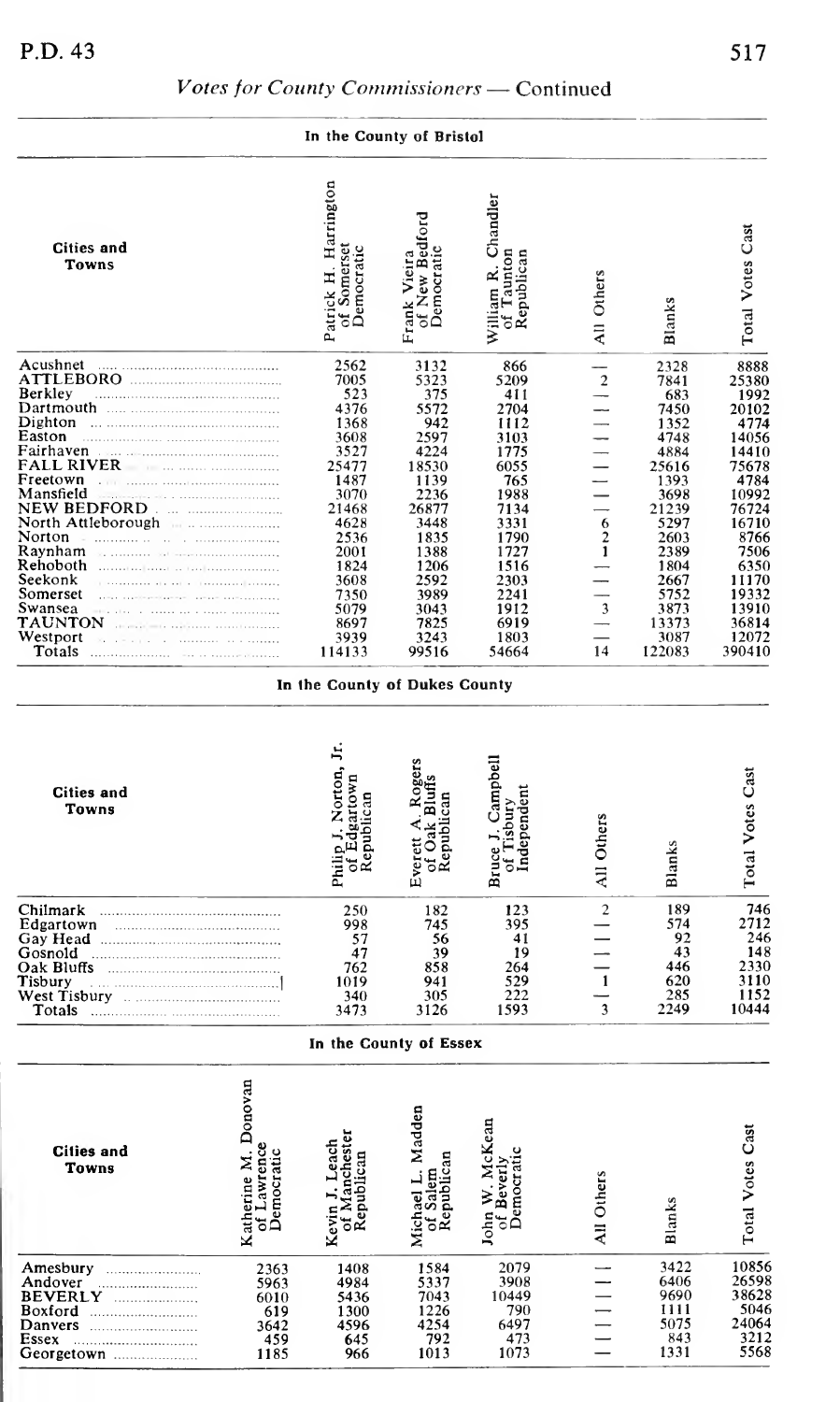|                                                                                                                                                                                                                                                                                                                                                                                                                                                                                                |                                                        | In the County of Bristol                                                                                                                                                       |                                                                                                                                                                             |                                                                                                                                                                    |                                                                                                                                                                                                               |                                                                                                                                                                                 |                                                                                                                                                                    |
|------------------------------------------------------------------------------------------------------------------------------------------------------------------------------------------------------------------------------------------------------------------------------------------------------------------------------------------------------------------------------------------------------------------------------------------------------------------------------------------------|--------------------------------------------------------|--------------------------------------------------------------------------------------------------------------------------------------------------------------------------------|-----------------------------------------------------------------------------------------------------------------------------------------------------------------------------|--------------------------------------------------------------------------------------------------------------------------------------------------------------------|---------------------------------------------------------------------------------------------------------------------------------------------------------------------------------------------------------------|---------------------------------------------------------------------------------------------------------------------------------------------------------------------------------|--------------------------------------------------------------------------------------------------------------------------------------------------------------------|
| Cities and<br><b>Towns</b>                                                                                                                                                                                                                                                                                                                                                                                                                                                                     |                                                        | Patrick H. Harrington<br>of Somerset<br>Democratic                                                                                                                             | of New Bedford<br>Democratic<br>Frank Vieira                                                                                                                                | William R. Chandler<br>of Taunton<br>Republican                                                                                                                    | All Others                                                                                                                                                                                                    | <b>Blanks</b>                                                                                                                                                                   | Total Votes Cast                                                                                                                                                   |
| Acushnet<br>ATTLEBORO<br>Berkley<br>Dartmouth<br>Dighton<br>Dighton<br>Easton<br>Fairhaven<br><b>FALL RIVER</b><br>The announcement and the contract of<br>Freetown<br>Mansfield<br>Mausicus<br>NEW BEDFORD<br>North Attleborough<br>Raynham<br>Rehoboth<br>anantarjum sec.<br>1 maana di alta juurim kaana<br>1 maana dina kaan di al<br>Seekonk<br>Somerset<br>Swansea<br><b>TAUNTON</b><br>and complete and complete the complete state<br>Westport<br>receive a manager and many<br>Totals | and the state of the state of<br><b>The Commission</b> | 2562<br>7005<br>$\frac{523}{4376}$<br>1368<br>3608<br>3527<br>25477<br>1487<br>3070<br>21468<br>4628<br>2536<br>2001<br>1824<br>3608<br>7350<br>5079<br>8697<br>3939<br>114133 | $3132$<br>$5323$<br>$375$<br>5572<br>942<br>2597<br>4224<br>18530<br>1139<br>2236<br>26877<br>3448<br>1835<br>1388<br>1206<br>2592<br>3989<br>3043<br>7825<br>3243<br>99516 | 866<br>5209<br>411<br>2704<br>1112<br>3103<br>1775<br>6055<br>765<br>1988<br>7134<br>3331<br>1790<br>1727<br>1516<br>2303<br>2241<br>1912<br>6919<br>1803<br>54664 | $\frac{1}{2}$ - $\frac{1}{2}$ - $\frac{1}{2}$ - $\frac{1}{2}$ - $\frac{1}{2}$ - $\frac{1}{2}$ - $\frac{1}{2}$ - $\frac{1}{2}$ - $\frac{1}{2}$ - $\frac{1}{2}$ - $\frac{1}{2}$ - $\frac{1}{2}$ - $\frac{1}{2}$ | 2328<br>7841<br>$\frac{683}{7450}$<br>1352<br>4748<br>4884<br>25616<br>1393<br>3698<br>21239<br>5297<br>2603<br>2389<br>1804<br>2667<br>5752<br>3873<br>13373<br>3087<br>122083 | 8888<br>25380<br>20102<br>4774<br>14056<br>14410<br>75678<br>4784<br>76724<br>16710<br>8766<br>7506<br>6350<br>11170<br>19332<br>13910<br>36814<br>12072<br>390410 |
|                                                                                                                                                                                                                                                                                                                                                                                                                                                                                                |                                                        | In the County of Dukes County                                                                                                                                                  |                                                                                                                                                                             |                                                                                                                                                                    |                                                                                                                                                                                                               |                                                                                                                                                                                 |                                                                                                                                                                    |
| <b>Cities and</b><br><b>Towns</b>                                                                                                                                                                                                                                                                                                                                                                                                                                                              |                                                        | Philip J. Norton, Jr.<br>of Edgartown<br>Republican                                                                                                                            | Everett A. Rogers<br>of Oak Bluffs<br>Republican                                                                                                                            | Bruce J. Campbell<br>of Tisbury<br>Independent                                                                                                                     | All Others                                                                                                                                                                                                    | Blanks                                                                                                                                                                          | Total Votes Cast                                                                                                                                                   |
| Chilmark<br>Edgartown<br>Gosnold<br>Oak Bluffs<br>Tisbury<br>West Tisbury<br>Totals                                                                                                                                                                                                                                                                                                                                                                                                            |                                                        | 250<br>998<br>57<br>47<br>762<br>1019<br>340<br>3473                                                                                                                           | 182<br>745<br>56<br>39<br>858<br>941<br>305<br>3126                                                                                                                         | 123<br>395<br>41<br>19<br>264<br>$\frac{529}{222}$<br>1593                                                                                                         | $\frac{2}{1}$<br>$\overline{\mathbf{3}}$                                                                                                                                                                      | 189<br>$\frac{574}{92}$<br>43<br>446<br>620<br>285<br>2249                                                                                                                      | $\frac{746}{2712}$<br>2712<br>148<br>2330<br>3110<br>1152<br>10444                                                                                                 |
|                                                                                                                                                                                                                                                                                                                                                                                                                                                                                                |                                                        |                                                                                                                                                                                | In the County of Essex                                                                                                                                                      |                                                                                                                                                                    |                                                                                                                                                                                                               |                                                                                                                                                                                 |                                                                                                                                                                    |
| <b>Cities and</b><br><b>Towns</b>                                                                                                                                                                                                                                                                                                                                                                                                                                                              | Katherine M. Donovan<br>of Lawrence<br>Democratic      | of Manchester<br>Republican<br>Kevin J. Leach                                                                                                                                  | Michael L. Madden<br>of Salem<br>Republican                                                                                                                                 | John W. McKean<br>of Beverly<br>Democratic                                                                                                                         | All Others                                                                                                                                                                                                    | Blanks                                                                                                                                                                          | <b>Total Votes Cast</b>                                                                                                                                            |
| Amesbury<br>Andover<br><b>BEVERLY</b><br>$\mathbf{Y}$<br>Boxford<br>Danvers<br>Essex<br>Georgetown                                                                                                                                                                                                                                                                                                                                                                                             | 2363<br>5963<br>6010<br>$\frac{619}{3642}$<br>1185     | 1408<br>4984<br>5436<br>1300<br>4596<br>645<br>966                                                                                                                             | 1584<br>5337<br>7043<br>1226<br>4254<br>1013                                                                                                                                | 2079<br>3908<br>10449<br>790<br>6497<br>473<br>1073                                                                                                                |                                                                                                                                                                                                               | 3422<br>6406<br>9690<br>1111<br>5075<br>843<br>1331                                                                                                                             | 10856<br>26598<br>38628<br>5046<br>24064<br>3212<br>5568                                                                                                           |